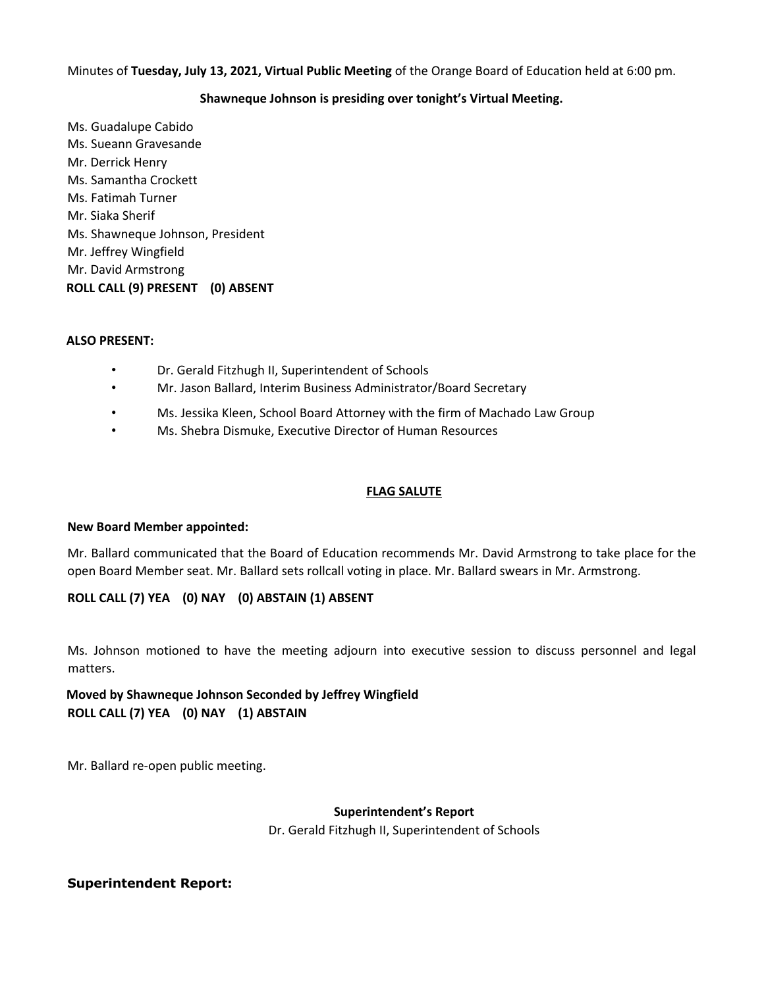Minutes of **Tuesday, July 13, 2021, Virtual Public Meeting** of the Orange Board of Education held at 6:00 pm.

#### **Shawneque Johnson is presiding over tonight's Virtual Meeting.**

Ms. Guadalupe Cabido Ms. Sueann Gravesande Mr. Derrick Henry Ms. Samantha Crockett Ms. Fatimah Turner Mr. Siaka Sherif Ms. Shawneque Johnson, President Mr. Jeffrey Wingfield Mr. David Armstrong **ROLL CALL (9) PRESENT (0) ABSENT** 

#### **ALSO PRESENT:**

- Dr. Gerald Fitzhugh II, Superintendent of Schools
- Mr. Jason Ballard, Interim Business Administrator/Board Secretary
- Ms. Jessika Kleen, School Board Attorney with the firm of Machado Law Group
- Ms. Shebra Dismuke, Executive Director of Human Resources

## **FLAG SALUTE**

#### **New Board Member appointed:**

Mr. Ballard communicated that the Board of Education recommends Mr. David Armstrong to take place for the open Board Member seat. Mr. Ballard sets rollcall voting in place. Mr. Ballard swears in Mr. Armstrong.

## **ROLL CALL (7) YEA (0) NAY (0) ABSTAIN (1) ABSENT**

Ms. Johnson motioned to have the meeting adjourn into executive session to discuss personnel and legal matters.

## **Moved by Shawneque Johnson Seconded by Jeffrey Wingfield ROLL CALL (7) YEA (0) NAY (1) ABSTAIN**

Mr. Ballard re-open public meeting.

# **Superintendent's Report**

Dr. Gerald Fitzhugh II, Superintendent of Schools

## **Superintendent Report:**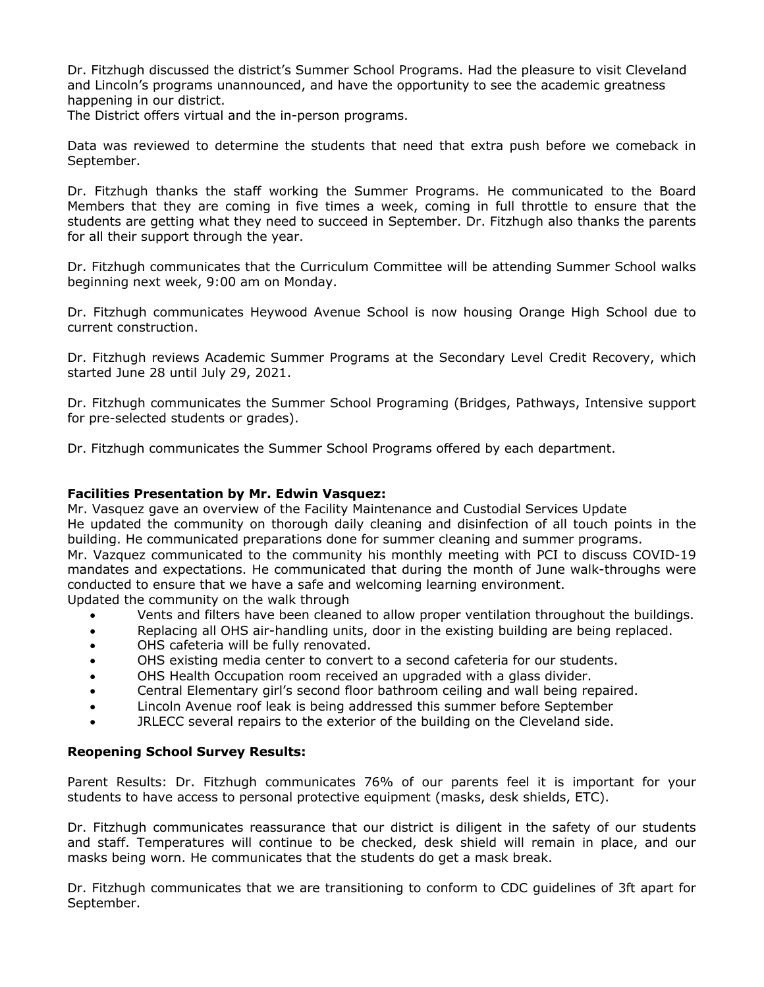Dr. Fitzhugh discussed the district's Summer School Programs. Had the pleasure to visit Cleveland and Lincoln's programs unannounced, and have the opportunity to see the academic greatness happening in our district.

The District offers virtual and the in-person programs.

Data was reviewed to determine the students that need that extra push before we comeback in September.

Dr. Fitzhugh thanks the staff working the Summer Programs. He communicated to the Board Members that they are coming in five times a week, coming in full throttle to ensure that the students are getting what they need to succeed in September. Dr. Fitzhugh also thanks the parents for all their support through the year.

Dr. Fitzhugh communicates that the Curriculum Committee will be attending Summer School walks beginning next week, 9:00 am on Monday.

Dr. Fitzhugh communicates Heywood Avenue School is now housing Orange High School due to current construction.

Dr. Fitzhugh reviews Academic Summer Programs at the Secondary Level Credit Recovery, which started June 28 until July 29, 2021.

Dr. Fitzhugh communicates the Summer School Programing (Bridges, Pathways, Intensive support for pre-selected students or grades).

Dr. Fitzhugh communicates the Summer School Programs offered by each department.

#### **Facilities Presentation by Mr. Edwin Vasquez:**

Mr. Vasquez gave an overview of the Facility Maintenance and Custodial Services Update He updated the community on thorough daily cleaning and disinfection of all touch points in the building. He communicated preparations done for summer cleaning and summer programs. Mr. Vazquez communicated to the community his monthly meeting with PCI to discuss COVID-19 mandates and expectations. He communicated that during the month of June walk-throughs were conducted to ensure that we have a safe and welcoming learning environment. Updated the community on the walk through

- Vents and filters have been cleaned to allow proper ventilation throughout the buildings.
- Replacing all OHS air-handling units, door in the existing building are being replaced.
- OHS cafeteria will be fully renovated.
- OHS existing media center to convert to a second cafeteria for our students.
- OHS Health Occupation room received an upgraded with a glass divider.
- Central Elementary girl's second floor bathroom ceiling and wall being repaired.
- Lincoln Avenue roof leak is being addressed this summer before September
- JRLECC several repairs to the exterior of the building on the Cleveland side.

## **Reopening School Survey Results:**

Parent Results: Dr. Fitzhugh communicates 76% of our parents feel it is important for your students to have access to personal protective equipment (masks, desk shields, ETC).

Dr. Fitzhugh communicates reassurance that our district is diligent in the safety of our students and staff. Temperatures will continue to be checked, desk shield will remain in place, and our masks being worn. He communicates that the students do get a mask break.

Dr. Fitzhugh communicates that we are transitioning to conform to CDC guidelines of 3ft apart for September.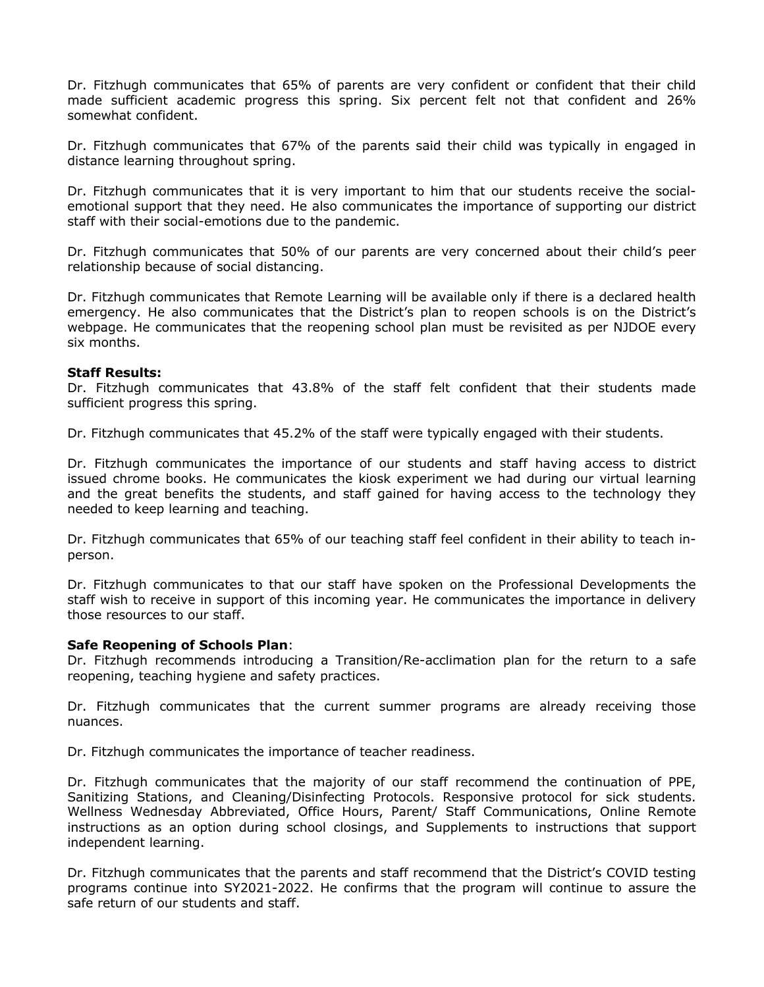Dr. Fitzhugh communicates that 65% of parents are very confident or confident that their child made sufficient academic progress this spring. Six percent felt not that confident and 26% somewhat confident.

Dr. Fitzhugh communicates that 67% of the parents said their child was typically in engaged in distance learning throughout spring.

Dr. Fitzhugh communicates that it is very important to him that our students receive the socialemotional support that they need. He also communicates the importance of supporting our district staff with their social-emotions due to the pandemic.

Dr. Fitzhugh communicates that 50% of our parents are very concerned about their child's peer relationship because of social distancing.

Dr. Fitzhugh communicates that Remote Learning will be available only if there is a declared health emergency. He also communicates that the District's plan to reopen schools is on the District's webpage. He communicates that the reopening school plan must be revisited as per NJDOE every six months.

#### **Staff Results:**

Dr. Fitzhugh communicates that 43.8% of the staff felt confident that their students made sufficient progress this spring.

Dr. Fitzhugh communicates that 45.2% of the staff were typically engaged with their students.

Dr. Fitzhugh communicates the importance of our students and staff having access to district issued chrome books. He communicates the kiosk experiment we had during our virtual learning and the great benefits the students, and staff gained for having access to the technology they needed to keep learning and teaching.

Dr. Fitzhugh communicates that 65% of our teaching staff feel confident in their ability to teach inperson.

Dr. Fitzhugh communicates to that our staff have spoken on the Professional Developments the staff wish to receive in support of this incoming year. He communicates the importance in delivery those resources to our staff.

## **Safe Reopening of Schools Plan**:

Dr. Fitzhugh recommends introducing a Transition/Re-acclimation plan for the return to a safe reopening, teaching hygiene and safety practices.

Dr. Fitzhugh communicates that the current summer programs are already receiving those nuances.

Dr. Fitzhugh communicates the importance of teacher readiness.

Dr. Fitzhugh communicates that the majority of our staff recommend the continuation of PPE, Sanitizing Stations, and Cleaning/Disinfecting Protocols. Responsive protocol for sick students. Wellness Wednesday Abbreviated, Office Hours, Parent/ Staff Communications, Online Remote instructions as an option during school closings, and Supplements to instructions that support independent learning.

Dr. Fitzhugh communicates that the parents and staff recommend that the District's COVID testing programs continue into SY2021-2022. He confirms that the program will continue to assure the safe return of our students and staff.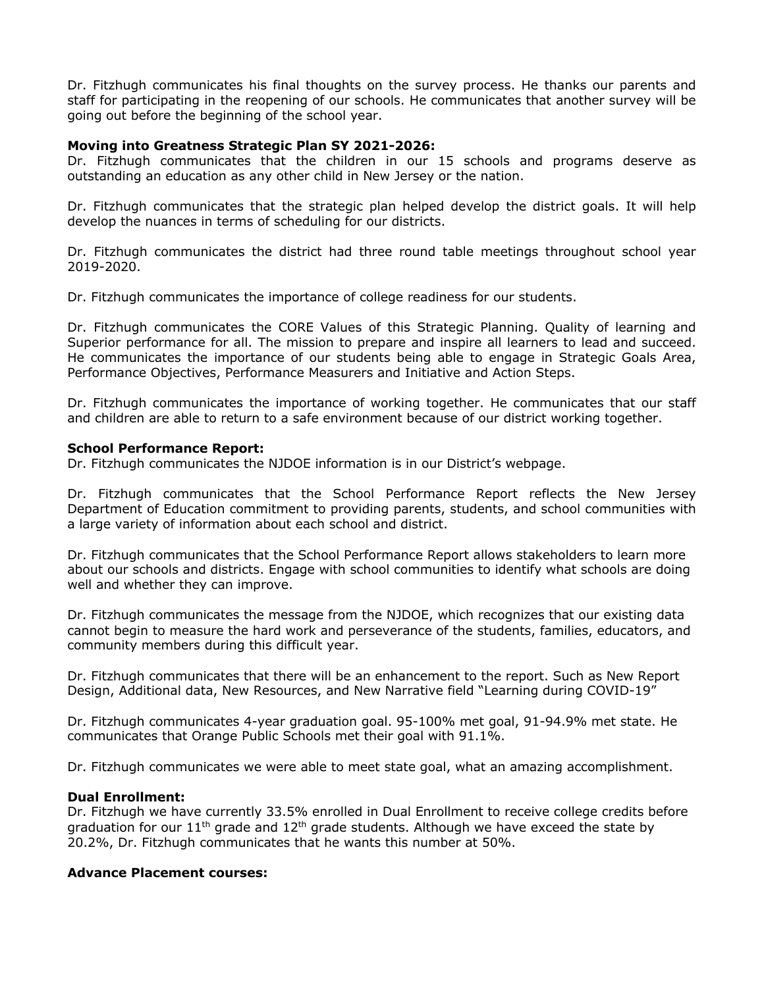Dr. Fitzhugh communicates his final thoughts on the survey process. He thanks our parents and staff for participating in the reopening of our schools. He communicates that another survey will be going out before the beginning of the school year.

#### **Moving into Greatness Strategic Plan SY 2021-2026:**

Dr. Fitzhugh communicates that the children in our 15 schools and programs deserve as outstanding an education as any other child in New Jersey or the nation.

Dr. Fitzhugh communicates that the strategic plan helped develop the district goals. It will help develop the nuances in terms of scheduling for our districts.

Dr. Fitzhugh communicates the district had three round table meetings throughout school year 2019-2020.

Dr. Fitzhugh communicates the importance of college readiness for our students.

Dr. Fitzhugh communicates the CORE Values of this Strategic Planning. Quality of learning and Superior performance for all. The mission to prepare and inspire all learners to lead and succeed. He communicates the importance of our students being able to engage in Strategic Goals Area, Performance Objectives, Performance Measurers and Initiative and Action Steps.

Dr. Fitzhugh communicates the importance of working together. He communicates that our staff and children are able to return to a safe environment because of our district working together.

#### **School Performance Report:**

Dr. Fitzhugh communicates the NJDOE information is in our District's webpage.

Dr. Fitzhugh communicates that the School Performance Report reflects the New Jersey Department of Education commitment to providing parents, students, and school communities with a large variety of information about each school and district.

Dr. Fitzhugh communicates that the School Performance Report allows stakeholders to learn more about our schools and districts. Engage with school communities to identify what schools are doing well and whether they can improve.

Dr. Fitzhugh communicates the message from the NJDOE, which recognizes that our existing data cannot begin to measure the hard work and perseverance of the students, families, educators, and community members during this difficult year.

Dr. Fitzhugh communicates that there will be an enhancement to the report. Such as New Report Design, Additional data, New Resources, and New Narrative field "Learning during COVID-19"

Dr. Fitzhugh communicates 4-year graduation goal. 95-100% met goal, 91-94.9% met state. He communicates that Orange Public Schools met their goal with 91.1%.

Dr. Fitzhugh communicates we were able to meet state goal, what an amazing accomplishment.

## **Dual Enrollment:**

Dr. Fitzhugh we have currently 33.5% enrolled in Dual Enrollment to receive college credits before graduation for our  $11<sup>th</sup>$  grade and  $12<sup>th</sup>$  grade students. Although we have exceed the state by 20.2%, Dr. Fitzhugh communicates that he wants this number at 50%.

## **Advance Placement courses:**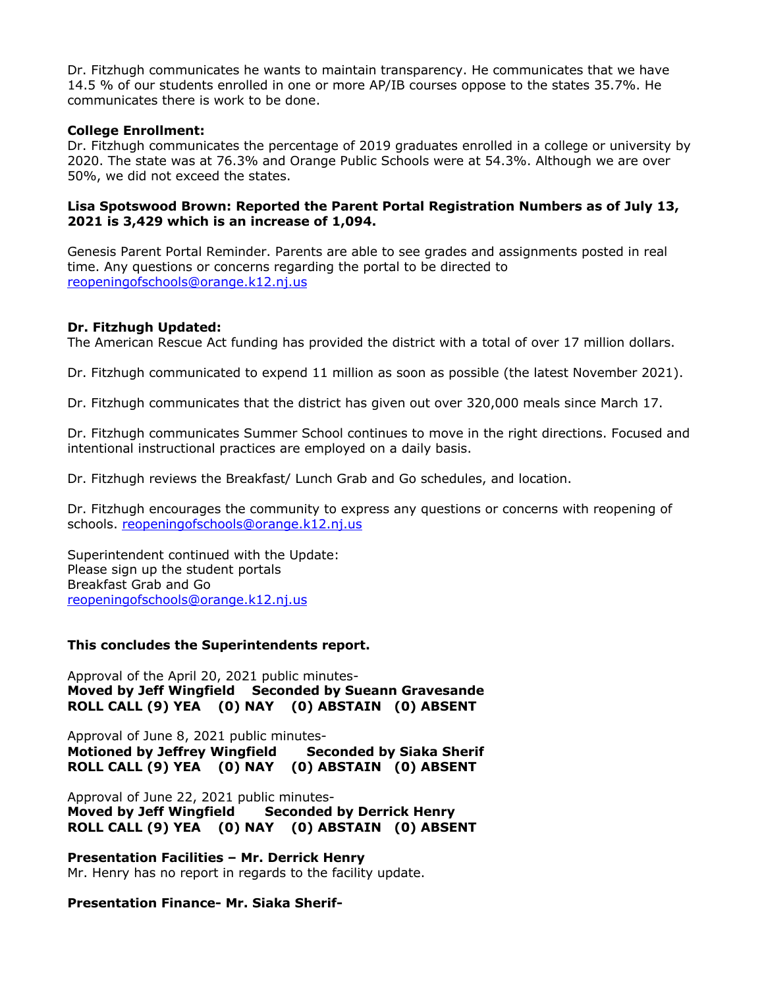Dr. Fitzhugh communicates he wants to maintain transparency. He communicates that we have 14.5 % of our students enrolled in one or more AP/IB courses oppose to the states 35.7%. He communicates there is work to be done.

## **College Enrollment:**

Dr. Fitzhugh communicates the percentage of 2019 graduates enrolled in a college or university by 2020. The state was at 76.3% and Orange Public Schools were at 54.3%. Although we are over 50%, we did not exceed the states.

## **Lisa Spotswood Brown: Reported the Parent Portal Registration Numbers as of July 13, 2021 is 3,429 which is an increase of 1,094.**

Genesis Parent Portal Reminder. Parents are able to see grades and assignments posted in real time. Any questions or concerns regarding the portal to be directed to reopeningofschools@orange.k12.nj.us

## **Dr. Fitzhugh Updated:**

The American Rescue Act funding has provided the district with a total of over 17 million dollars.

Dr. Fitzhugh communicated to expend 11 million as soon as possible (the latest November 2021).

Dr. Fitzhugh communicates that the district has given out over 320,000 meals since March 17.

Dr. Fitzhugh communicates Summer School continues to move in the right directions. Focused and intentional instructional practices are employed on a daily basis.

Dr. Fitzhugh reviews the Breakfast/ Lunch Grab and Go schedules, and location.

Dr. Fitzhugh encourages the community to express any questions or concerns with reopening of schools. reopeningofschools@orange.k12.nj.us

Superintendent continued with the Update: Please sign up the student portals Breakfast Grab and Go reopeningofschools@orange.k12.nj.us

## **This concludes the Superintendents report.**

Approval of the April 20, 2021 public minutes-**Moved by Jeff Wingfield Seconded by Sueann Gravesande ROLL CALL (9) YEA (0) NAY (0) ABSTAIN (0) ABSENT**

Approval of June 8, 2021 public minutes-**Motioned by Jeffrey Wingfield Seconded by Siaka Sherif ROLL CALL (9) YEA (0) NAY (0) ABSTAIN (0) ABSENT**

Approval of June 22, 2021 public minutes-**Moved by Jeff Wingfield Seconded by Derrick Henry ROLL CALL (9) YEA (0) NAY (0) ABSTAIN (0) ABSENT**

**Presentation Facilities – Mr. Derrick Henry** Mr. Henry has no report in regards to the facility update.

**Presentation Finance- Mr. Siaka Sherif-**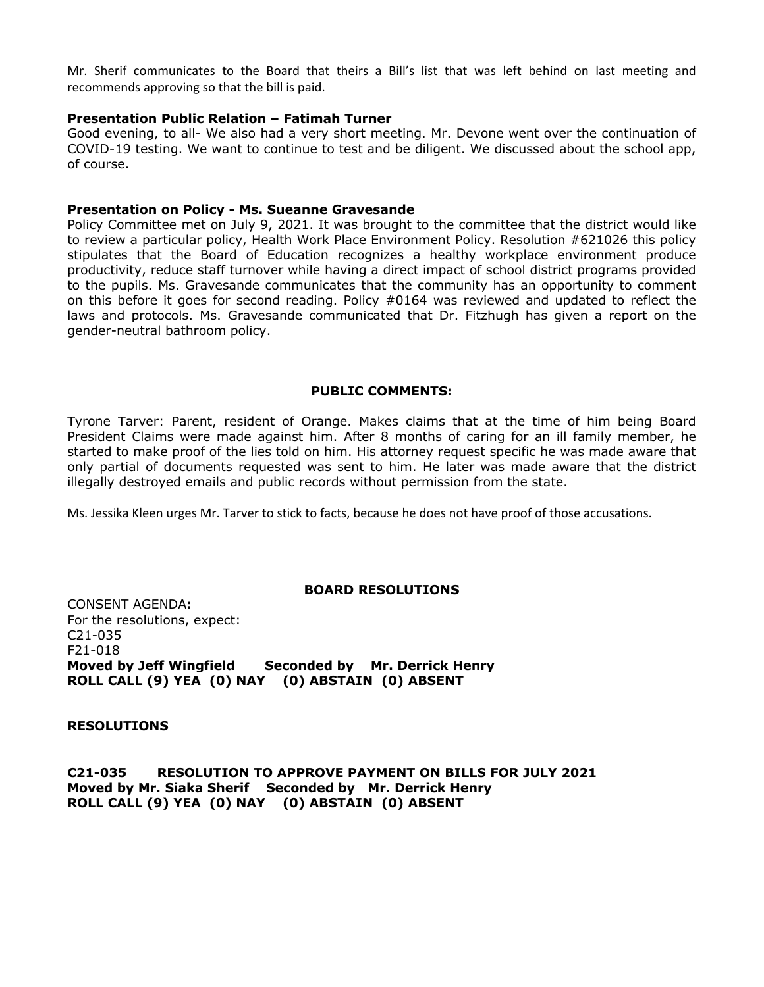Mr. Sherif communicates to the Board that theirs a Bill's list that was left behind on last meeting and recommends approving so that the bill is paid.

#### **Presentation Public Relation – Fatimah Turner**

Good evening, to all- We also had a very short meeting. Mr. Devone went over the continuation of COVID-19 testing. We want to continue to test and be diligent. We discussed about the school app, of course.

#### **Presentation on Policy - Ms. Sueanne Gravesande**

Policy Committee met on July 9, 2021. It was brought to the committee that the district would like to review a particular policy, Health Work Place Environment Policy. Resolution #621026 this policy stipulates that the Board of Education recognizes a healthy workplace environment produce productivity, reduce staff turnover while having a direct impact of school district programs provided to the pupils. Ms. Gravesande communicates that the community has an opportunity to comment on this before it goes for second reading. Policy #0164 was reviewed and updated to reflect the laws and protocols. Ms. Gravesande communicated that Dr. Fitzhugh has given a report on the gender-neutral bathroom policy.

#### **PUBLIC COMMENTS:**

Tyrone Tarver: Parent, resident of Orange. Makes claims that at the time of him being Board President Claims were made against him. After 8 months of caring for an ill family member, he started to make proof of the lies told on him. His attorney request specific he was made aware that only partial of documents requested was sent to him. He later was made aware that the district illegally destroyed emails and public records without permission from the state.

Ms. Jessika Kleen urges Mr. Tarver to stick to facts, because he does not have proof of those accusations.

#### **BOARD RESOLUTIONS**

CONSENT AGENDA**:** For the resolutions, expect: C21-035 F21-018 **Moved by Jeff Wingfield Seconded by Mr. Derrick Henry ROLL CALL (9) YEA (0) NAY (0) ABSTAIN (0) ABSENT**

**RESOLUTIONS**

**C21-035 RESOLUTION TO APPROVE PAYMENT ON BILLS FOR JULY 2021 Moved by Mr. Siaka Sherif Seconded by Mr. Derrick Henry ROLL CALL (9) YEA (0) NAY (0) ABSTAIN (0) ABSENT**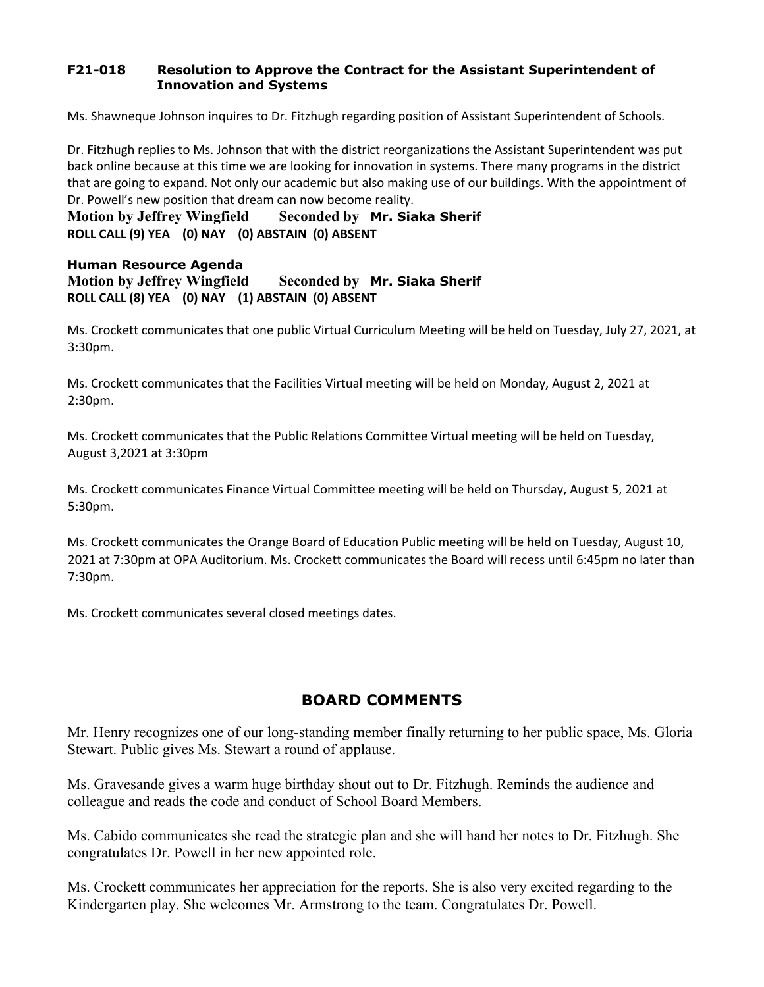## **F21-018 Resolution to Approve the Contract for the Assistant Superintendent of Innovation and Systems**

Ms. Shawneque Johnson inquires to Dr. Fitzhugh regarding position of Assistant Superintendent of Schools.

Dr. Fitzhugh replies to Ms. Johnson that with the district reorganizations the Assistant Superintendent was put back online because at this time we are looking for innovation in systems. There many programs in the district that are going to expand. Not only our academic but also making use of our buildings. With the appointment of Dr. Powell's new position that dream can now become reality.

**Motion by Jeffrey Wingfield Seconded by Mr. Siaka Sherif ROLL CALL (9) YEA (0) NAY (0) ABSTAIN (0) ABSENT**

## **Human Resource Agenda Motion by Jeffrey Wingfield Seconded by Mr. Siaka Sherif ROLL CALL (8) YEA (0) NAY (1) ABSTAIN (0) ABSENT**

Ms. Crockett communicates that one public Virtual Curriculum Meeting will be held on Tuesday, July 27, 2021, at 3:30pm.

Ms. Crockett communicates that the Facilities Virtual meeting will be held on Monday, August 2, 2021 at 2:30pm.

Ms. Crockett communicates that the Public Relations Committee Virtual meeting will be held on Tuesday, August 3,2021 at 3:30pm

Ms. Crockett communicates Finance Virtual Committee meeting will be held on Thursday, August 5, 2021 at 5:30pm.

Ms. Crockett communicates the Orange Board of Education Public meeting will be held on Tuesday, August 10, 2021 at 7:30pm at OPA Auditorium. Ms. Crockett communicates the Board will recess until 6:45pm no later than 7:30pm.

Ms. Crockett communicates several closed meetings dates.

# **BOARD COMMENTS**

Mr. Henry recognizes one of our long-standing member finally returning to her public space, Ms. Gloria Stewart. Public gives Ms. Stewart a round of applause.

Ms. Gravesande gives a warm huge birthday shout out to Dr. Fitzhugh. Reminds the audience and colleague and reads the code and conduct of School Board Members.

Ms. Cabido communicates she read the strategic plan and she will hand her notes to Dr. Fitzhugh. She congratulates Dr. Powell in her new appointed role.

Ms. Crockett communicates her appreciation for the reports. She is also very excited regarding to the Kindergarten play. She welcomes Mr. Armstrong to the team. Congratulates Dr. Powell.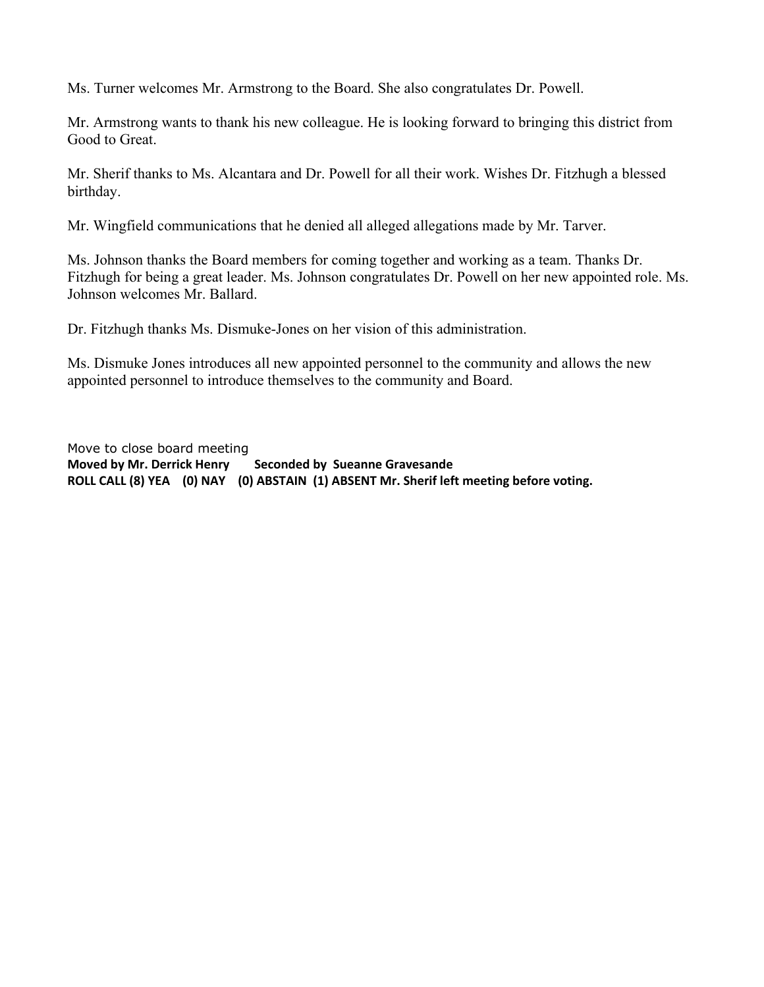Ms. Turner welcomes Mr. Armstrong to the Board. She also congratulates Dr. Powell.

Mr. Armstrong wants to thank his new colleague. He is looking forward to bringing this district from Good to Great.

Mr. Sherif thanks to Ms. Alcantara and Dr. Powell for all their work. Wishes Dr. Fitzhugh a blessed birthday.

Mr. Wingfield communications that he denied all alleged allegations made by Mr. Tarver.

Ms. Johnson thanks the Board members for coming together and working as a team. Thanks Dr. Fitzhugh for being a great leader. Ms. Johnson congratulates Dr. Powell on her new appointed role. Ms. Johnson welcomes Mr. Ballard.

Dr. Fitzhugh thanks Ms. Dismuke-Jones on her vision of this administration.

Ms. Dismuke Jones introduces all new appointed personnel to the community and allows the new appointed personnel to introduce themselves to the community and Board.

Move to close board meeting **Moved by Mr. Derrick Henry Seconded by Sueanne Gravesande ROLL CALL (8) YEA (0) NAY (0) ABSTAIN (1) ABSENT Mr. Sherif left meeting before voting.**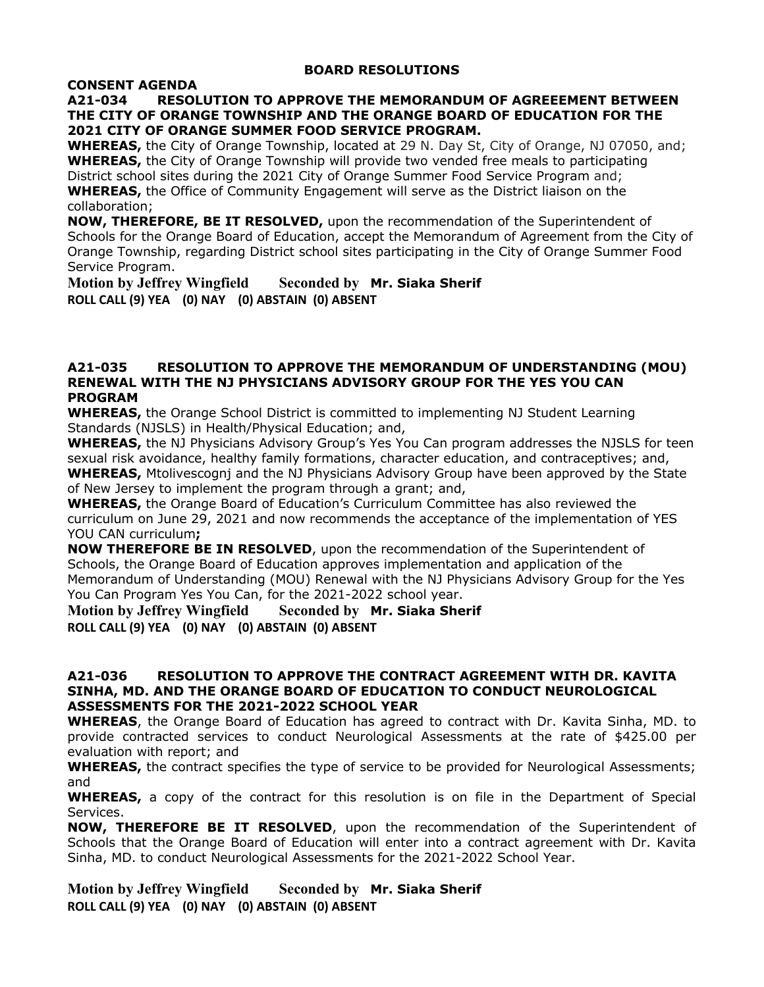#### **BOARD RESOLUTIONS**

## **CONSENT AGENDA**

## **A21-034 RESOLUTION TO APPROVE THE MEMORANDUM OF AGREEEMENT BETWEEN THE CITY OF ORANGE TOWNSHIP AND THE ORANGE BOARD OF EDUCATION FOR THE 2021 CITY OF ORANGE SUMMER FOOD SERVICE PROGRAM.**

**WHEREAS,** the City of Orange Township, located at 29 N. Day St, City of Orange, NJ 07050, and; **WHEREAS,** the City of Orange Township will provide two vended free meals to participating District school sites during the 2021 City of Orange Summer Food Service Program and; **WHEREAS,** the Office of Community Engagement will serve as the District liaison on the collaboration;

**NOW, THEREFORE, BE IT RESOLVED,** upon the recommendation of the Superintendent of Schools for the Orange Board of Education, accept the Memorandum of Agreement from the City of Orange Township, regarding District school sites participating in the City of Orange Summer Food Service Program.

**Motion by Jeffrey Wingfield Seconded by Mr. Siaka Sherif ROLL CALL (9) YEA (0) NAY (0) ABSTAIN (0) ABSENT**

#### **A21-035 RESOLUTION TO APPROVE THE MEMORANDUM OF UNDERSTANDING (MOU) RENEWAL WITH THE NJ PHYSICIANS ADVISORY GROUP FOR THE YES YOU CAN PROGRAM**

**WHEREAS,** the Orange School District is committed to implementing NJ Student Learning Standards (NJSLS) in Health/Physical Education; and,

**WHEREAS,** the NJ Physicians Advisory Group's Yes You Can program addresses the NJSLS for teen sexual risk avoidance, healthy family formations, character education, and contraceptives; and, **WHEREAS,** Mtolivescognj and the NJ Physicians Advisory Group have been approved by the State

of New Jersey to implement the program through a grant; and,

**WHEREAS,** the Orange Board of Education's Curriculum Committee has also reviewed the curriculum on June 29, 2021 and now recommends the acceptance of the implementation of YES YOU CAN curriculum**;**

**NOW THEREFORE BE IN RESOLVED**, upon the recommendation of the Superintendent of Schools, the Orange Board of Education approves implementation and application of the Memorandum of Understanding (MOU) Renewal with the NJ Physicians Advisory Group for the Yes You Can Program Yes You Can, for the 2021-2022 school year.

**Motion by Jeffrey Wingfield Seconded by Mr. Siaka Sherif ROLL CALL (9) YEA (0) NAY (0) ABSTAIN (0) ABSENT**

## **A21-036 RESOLUTION TO APPROVE THE CONTRACT AGREEMENT WITH DR. KAVITA SINHA, MD. AND THE ORANGE BOARD OF EDUCATION TO CONDUCT NEUROLOGICAL ASSESSMENTS FOR THE 2021-2022 SCHOOL YEAR**

**WHEREAS**, the Orange Board of Education has agreed to contract with Dr. Kavita Sinha, MD. to provide contracted services to conduct Neurological Assessments at the rate of \$425.00 per evaluation with report; and

**WHEREAS,** the contract specifies the type of service to be provided for Neurological Assessments; and

**WHEREAS,** a copy of the contract for this resolution is on file in the Department of Special Services.

**NOW, THEREFORE BE IT RESOLVED**, upon the recommendation of the Superintendent of Schools that the Orange Board of Education will enter into a contract agreement with Dr. Kavita Sinha, MD. to conduct Neurological Assessments for the 2021-2022 School Year.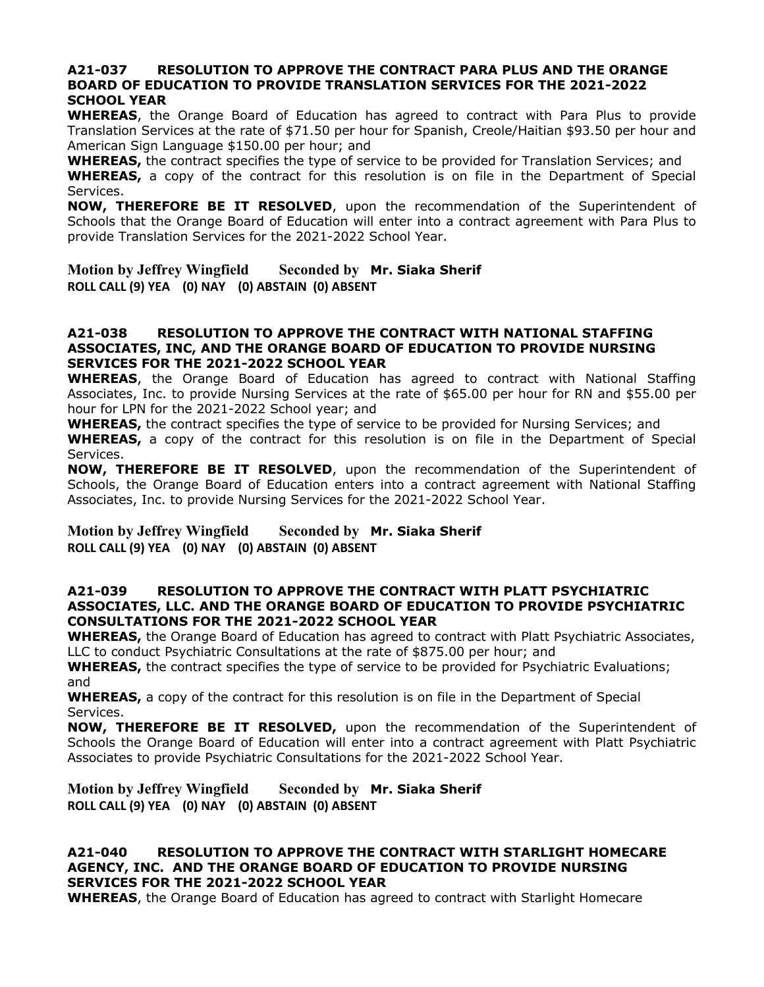#### **A21-037 RESOLUTION TO APPROVE THE CONTRACT PARA PLUS AND THE ORANGE BOARD OF EDUCATION TO PROVIDE TRANSLATION SERVICES FOR THE 2021-2022 SCHOOL YEAR**

**WHEREAS**, the Orange Board of Education has agreed to contract with Para Plus to provide Translation Services at the rate of \$71.50 per hour for Spanish, Creole/Haitian \$93.50 per hour and American Sign Language \$150.00 per hour; and

**WHEREAS,** the contract specifies the type of service to be provided for Translation Services; and **WHEREAS,** a copy of the contract for this resolution is on file in the Department of Special Services.

**NOW, THEREFORE BE IT RESOLVED**, upon the recommendation of the Superintendent of Schools that the Orange Board of Education will enter into a contract agreement with Para Plus to provide Translation Services for the 2021-2022 School Year.

**Motion by Jeffrey Wingfield Seconded by Mr. Siaka Sherif ROLL CALL (9) YEA (0) NAY (0) ABSTAIN (0) ABSENT**

## **A21-038 RESOLUTION TO APPROVE THE CONTRACT WITH NATIONAL STAFFING ASSOCIATES, INC, AND THE ORANGE BOARD OF EDUCATION TO PROVIDE NURSING SERVICES FOR THE 2021-2022 SCHOOL YEAR**

**WHEREAS**, the Orange Board of Education has agreed to contract with National Staffing Associates, Inc. to provide Nursing Services at the rate of \$65.00 per hour for RN and \$55.00 per hour for LPN for the 2021-2022 School year; and

**WHEREAS,** the contract specifies the type of service to be provided for Nursing Services; and **WHEREAS,** a copy of the contract for this resolution is on file in the Department of Special Services.

**NOW, THEREFORE BE IT RESOLVED**, upon the recommendation of the Superintendent of Schools, the Orange Board of Education enters into a contract agreement with National Staffing Associates, Inc. to provide Nursing Services for the 2021-2022 School Year.

**Motion by Jeffrey Wingfield Seconded by Mr. Siaka Sherif ROLL CALL (9) YEA (0) NAY (0) ABSTAIN (0) ABSENT**

## **A21-039 RESOLUTION TO APPROVE THE CONTRACT WITH PLATT PSYCHIATRIC ASSOCIATES, LLC. AND THE ORANGE BOARD OF EDUCATION TO PROVIDE PSYCHIATRIC CONSULTATIONS FOR THE 2021-2022 SCHOOL YEAR**

**WHEREAS,** the Orange Board of Education has agreed to contract with Platt Psychiatric Associates, LLC to conduct Psychiatric Consultations at the rate of \$875.00 per hour; and

**WHEREAS,** the contract specifies the type of service to be provided for Psychiatric Evaluations; and

**WHEREAS,** a copy of the contract for this resolution is on file in the Department of Special Services.

**NOW, THEREFORE BE IT RESOLVED,** upon the recommendation of the Superintendent of Schools the Orange Board of Education will enter into a contract agreement with Platt Psychiatric Associates to provide Psychiatric Consultations for the 2021-2022 School Year.

## **Motion by Jeffrey Wingfield Seconded by Mr. Siaka Sherif ROLL CALL (9) YEA (0) NAY (0) ABSTAIN (0) ABSENT**

## **A21-040 RESOLUTION TO APPROVE THE CONTRACT WITH STARLIGHT HOMECARE AGENCY, INC. AND THE ORANGE BOARD OF EDUCATION TO PROVIDE NURSING SERVICES FOR THE 2021-2022 SCHOOL YEAR**

**WHEREAS**, the Orange Board of Education has agreed to contract with Starlight Homecare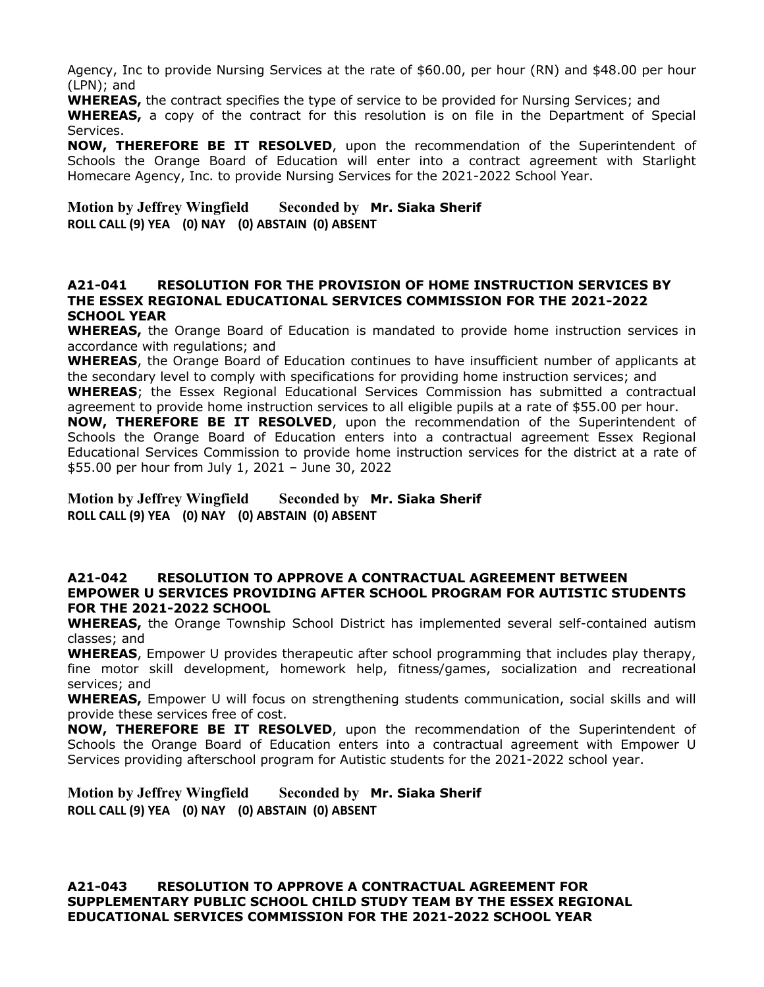Agency, Inc to provide Nursing Services at the rate of \$60.00, per hour (RN) and \$48.00 per hour (LPN); and

**WHEREAS,** the contract specifies the type of service to be provided for Nursing Services; and

**WHEREAS,** a copy of the contract for this resolution is on file in the Department of Special Services.

**NOW, THEREFORE BE IT RESOLVED**, upon the recommendation of the Superintendent of Schools the Orange Board of Education will enter into a contract agreement with Starlight Homecare Agency, Inc. to provide Nursing Services for the 2021-2022 School Year.

**Motion by Jeffrey Wingfield Seconded by Mr. Siaka Sherif ROLL CALL (9) YEA (0) NAY (0) ABSTAIN (0) ABSENT**

## **A21-041 RESOLUTION FOR THE PROVISION OF HOME INSTRUCTION SERVICES BY THE ESSEX REGIONAL EDUCATIONAL SERVICES COMMISSION FOR THE 2021-2022 SCHOOL YEAR**

**WHEREAS,** the Orange Board of Education is mandated to provide home instruction services in accordance with regulations; and

**WHEREAS**, the Orange Board of Education continues to have insufficient number of applicants at the secondary level to comply with specifications for providing home instruction services; and **WHEREAS**; the Essex Regional Educational Services Commission has submitted a contractual

agreement to provide home instruction services to all eligible pupils at a rate of \$55.00 per hour. **NOW, THEREFORE BE IT RESOLVED**, upon the recommendation of the Superintendent of Schools the Orange Board of Education enters into a contractual agreement Essex Regional Educational Services Commission to provide home instruction services for the district at a rate of \$55.00 per hour from July 1, 2021 – June 30, 2022

**Motion by Jeffrey Wingfield Seconded by Mr. Siaka Sherif ROLL CALL (9) YEA (0) NAY (0) ABSTAIN (0) ABSENT**

### **A21-042 RESOLUTION TO APPROVE A CONTRACTUAL AGREEMENT BETWEEN EMPOWER U SERVICES PROVIDING AFTER SCHOOL PROGRAM FOR AUTISTIC STUDENTS FOR THE 2021-2022 SCHOOL**

**WHEREAS,** the Orange Township School District has implemented several self-contained autism classes; and

**WHEREAS**, Empower U provides therapeutic after school programming that includes play therapy, fine motor skill development, homework help, fitness/games, socialization and recreational services; and

**WHEREAS,** Empower U will focus on strengthening students communication, social skills and will provide these services free of cost.

**NOW, THEREFORE BE IT RESOLVED**, upon the recommendation of the Superintendent of Schools the Orange Board of Education enters into a contractual agreement with Empower U Services providing afterschool program for Autistic students for the 2021-2022 school year.

**Motion by Jeffrey Wingfield Seconded by Mr. Siaka Sherif ROLL CALL (9) YEA (0) NAY (0) ABSTAIN (0) ABSENT**

**A21-043 RESOLUTION TO APPROVE A CONTRACTUAL AGREEMENT FOR SUPPLEMENTARY PUBLIC SCHOOL CHILD STUDY TEAM BY THE ESSEX REGIONAL EDUCATIONAL SERVICES COMMISSION FOR THE 2021-2022 SCHOOL YEAR**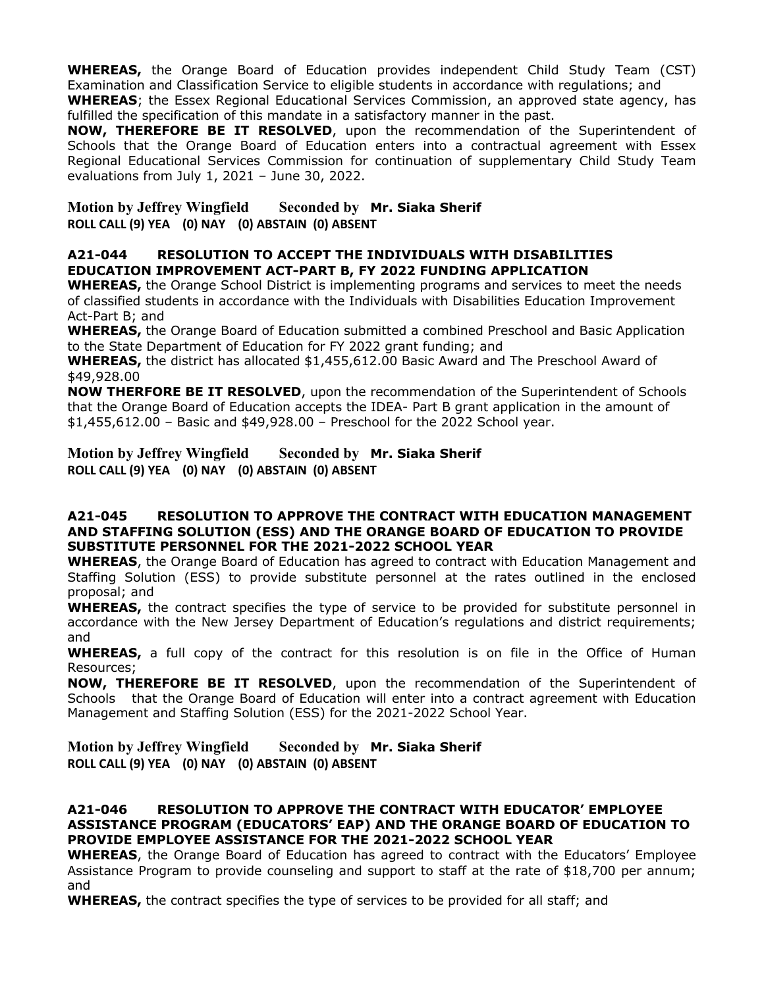**WHEREAS,** the Orange Board of Education provides independent Child Study Team (CST) Examination and Classification Service to eligible students in accordance with regulations; and

**WHEREAS**; the Essex Regional Educational Services Commission, an approved state agency, has fulfilled the specification of this mandate in a satisfactory manner in the past.

**NOW, THEREFORE BE IT RESOLVED**, upon the recommendation of the Superintendent of Schools that the Orange Board of Education enters into a contractual agreement with Essex Regional Educational Services Commission for continuation of supplementary Child Study Team evaluations from July 1, 2021 – June 30, 2022.

**Motion by Jeffrey Wingfield Seconded by Mr. Siaka Sherif ROLL CALL (9) YEA (0) NAY (0) ABSTAIN (0) ABSENT**

## **A21-044 RESOLUTION TO ACCEPT THE INDIVIDUALS WITH DISABILITIES EDUCATION IMPROVEMENT ACT-PART B, FY 2022 FUNDING APPLICATION**

**WHEREAS,** the Orange School District is implementing programs and services to meet the needs of classified students in accordance with the Individuals with Disabilities Education Improvement Act-Part B; and

**WHEREAS,** the Orange Board of Education submitted a combined Preschool and Basic Application to the State Department of Education for FY 2022 grant funding; and

**WHEREAS,** the district has allocated \$1,455,612.00 Basic Award and The Preschool Award of \$49,928.00

**NOW THERFORE BE IT RESOLVED**, upon the recommendation of the Superintendent of Schools that the Orange Board of Education accepts the IDEA- Part B grant application in the amount of \$1,455,612.00 – Basic and \$49,928.00 – Preschool for the 2022 School year.

**Motion by Jeffrey Wingfield Seconded by Mr. Siaka Sherif ROLL CALL (9) YEA (0) NAY (0) ABSTAIN (0) ABSENT**

## **A21-045 RESOLUTION TO APPROVE THE CONTRACT WITH EDUCATION MANAGEMENT AND STAFFING SOLUTION (ESS) AND THE ORANGE BOARD OF EDUCATION TO PROVIDE SUBSTITUTE PERSONNEL FOR THE 2021-2022 SCHOOL YEAR**

**WHEREAS**, the Orange Board of Education has agreed to contract with Education Management and Staffing Solution (ESS) to provide substitute personnel at the rates outlined in the enclosed proposal; and

**WHEREAS,** the contract specifies the type of service to be provided for substitute personnel in accordance with the New Jersey Department of Education's regulations and district requirements; and

**WHEREAS,** a full copy of the contract for this resolution is on file in the Office of Human Resources;

**NOW, THEREFORE BE IT RESOLVED**, upon the recommendation of the Superintendent of Schools that the Orange Board of Education will enter into a contract agreement with Education Management and Staffing Solution (ESS) for the 2021-2022 School Year.

**Motion by Jeffrey Wingfield Seconded by Mr. Siaka Sherif ROLL CALL (9) YEA (0) NAY (0) ABSTAIN (0) ABSENT**

## **A21-046 RESOLUTION TO APPROVE THE CONTRACT WITH EDUCATOR' EMPLOYEE ASSISTANCE PROGRAM (EDUCATORS' EAP) AND THE ORANGE BOARD OF EDUCATION TO PROVIDE EMPLOYEE ASSISTANCE FOR THE 2021-2022 SCHOOL YEAR**

**WHEREAS**, the Orange Board of Education has agreed to contract with the Educators' Employee Assistance Program to provide counseling and support to staff at the rate of \$18,700 per annum; and

**WHEREAS,** the contract specifies the type of services to be provided for all staff; and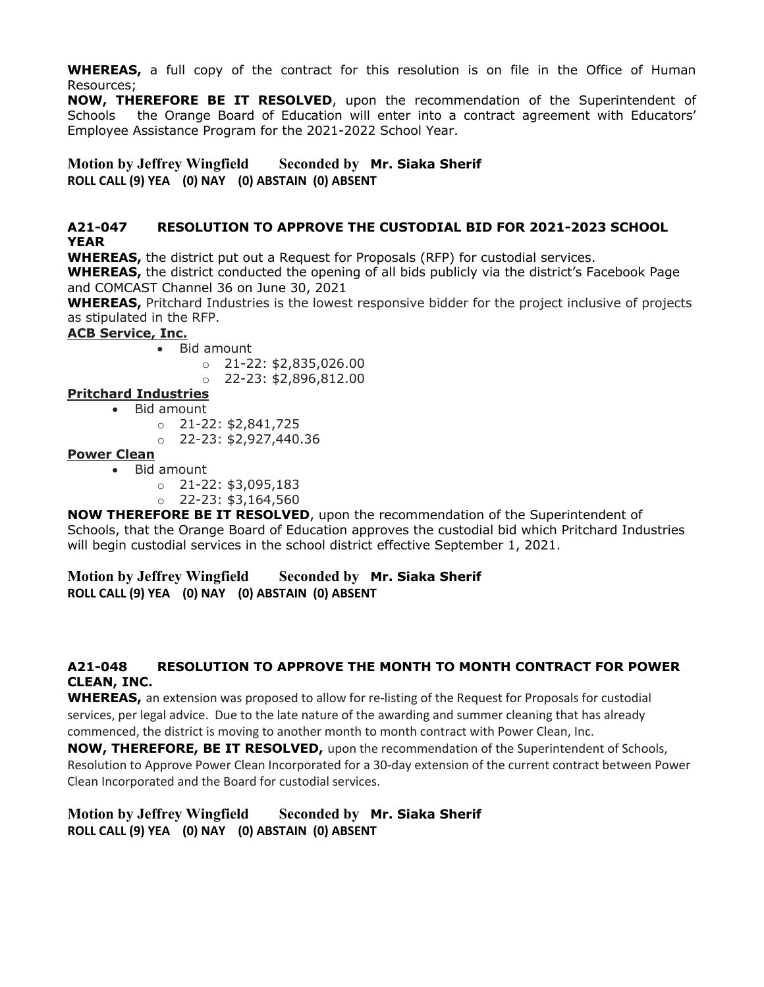**WHEREAS,** a full copy of the contract for this resolution is on file in the Office of Human Resources;

**NOW, THEREFORE BE IT RESOLVED**, upon the recommendation of the Superintendent of Schools the Orange Board of Education will enter into a contract agreement with Educators' Employee Assistance Program for the 2021-2022 School Year.

**Motion by Jeffrey Wingfield Seconded by Mr. Siaka Sherif ROLL CALL (9) YEA (0) NAY (0) ABSTAIN (0) ABSENT**

#### **A21-047 RESOLUTION TO APPROVE THE CUSTODIAL BID FOR 2021-2023 SCHOOL YEAR**

**WHEREAS,** the district put out a Request for Proposals (RFP) for custodial services.

**WHEREAS,** the district conducted the opening of all bids publicly via the district's Facebook Page and COMCAST Channel 36 on June 30, 2021

**WHEREAS,** Pritchard Industries is the lowest responsive bidder for the project inclusive of projects as stipulated in the RFP.

## **ACB Service, Inc.**

- Bid amount
	- $\circ$  21-22: \$2,835,026.00
	- $\circ$  22-23: \$2,896,812.00

## **Pritchard Industries**

- Bid amount
	- $O$  21-22: \$2,841,725
	- $O$  22-23: \$2,927,440.36

## **Power Clean**

- Bid amount
	- o 21-22: \$3,095,183
	- $O$  22-23: \$3,164,560

**NOW THEREFORE BE IT RESOLVED**, upon the recommendation of the Superintendent of Schools, that the Orange Board of Education approves the custodial bid which Pritchard Industries will begin custodial services in the school district effective September 1, 2021.

**Motion by Jeffrey Wingfield Seconded by Mr. Siaka Sherif ROLL CALL (9) YEA (0) NAY (0) ABSTAIN (0) ABSENT**

## **A21-048 RESOLUTION TO APPROVE THE MONTH TO MONTH CONTRACT FOR POWER CLEAN, INC.**

**WHEREAS,** an extension was proposed to allow for re-listing of the Request for Proposals for custodial services, per legal advice. Due to the late nature of the awarding and summer cleaning that has already commenced, the district is moving to another month to month contract with Power Clean, Inc.

**NOW, THEREFORE, BE IT RESOLVED,** upon the recommendation of the Superintendent of Schools, Resolution to Approve Power Clean Incorporated for a 30-day extension of the current contract between Power Clean Incorporated and the Board for custodial services.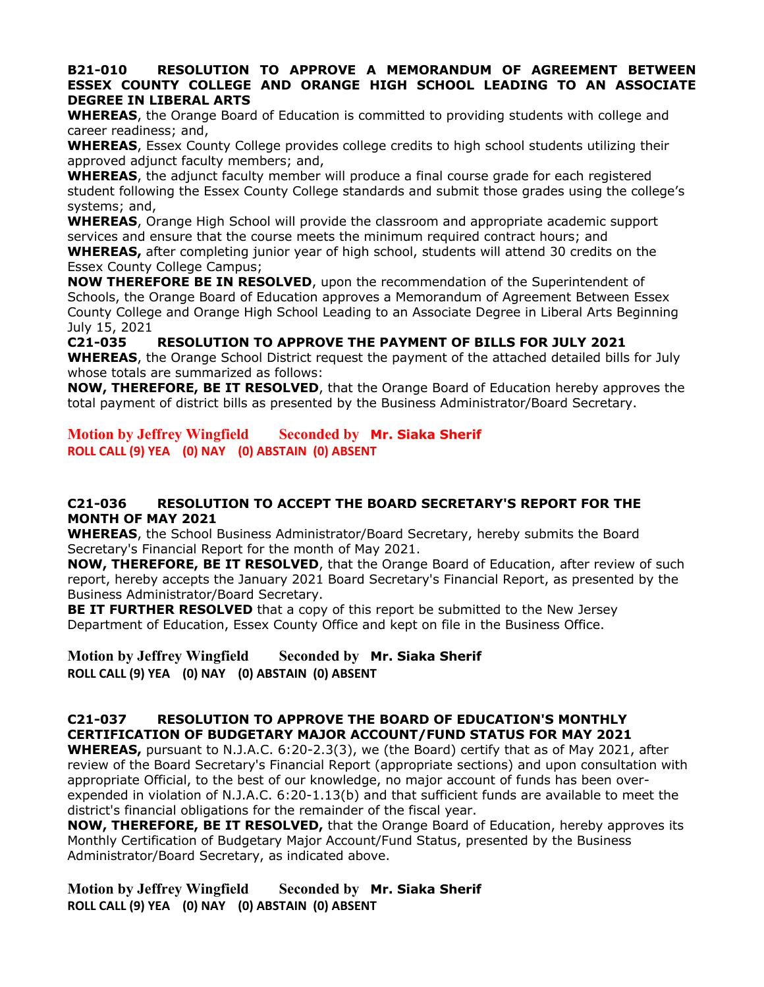#### **B21-010 RESOLUTION TO APPROVE A MEMORANDUM OF AGREEMENT BETWEEN ESSEX COUNTY COLLEGE AND ORANGE HIGH SCHOOL LEADING TO AN ASSOCIATE DEGREE IN LIBERAL ARTS**

**WHEREAS**, the Orange Board of Education is committed to providing students with college and career readiness; and,

**WHEREAS**, Essex County College provides college credits to high school students utilizing their approved adjunct faculty members; and,

**WHEREAS**, the adjunct faculty member will produce a final course grade for each registered student following the Essex County College standards and submit those grades using the college's systems; and,

**WHEREAS**, Orange High School will provide the classroom and appropriate academic support services and ensure that the course meets the minimum required contract hours; and

**WHEREAS,** after completing junior year of high school, students will attend 30 credits on the Essex County College Campus;

**NOW THEREFORE BE IN RESOLVED**, upon the recommendation of the Superintendent of Schools, the Orange Board of Education approves a Memorandum of Agreement Between Essex County College and Orange High School Leading to an Associate Degree in Liberal Arts Beginning July 15, 2021

**C21-035 RESOLUTION TO APPROVE THE PAYMENT OF BILLS FOR JULY 2021 WHEREAS**, the Orange School District request the payment of the attached detailed bills for July whose totals are summarized as follows:

**NOW, THEREFORE, BE IT RESOLVED**, that the Orange Board of Education hereby approves the total payment of district bills as presented by the Business Administrator/Board Secretary.

**Motion by Jeffrey Wingfield Seconded by Mr. Siaka Sherif ROLL CALL (9) YEA (0) NAY (0) ABSTAIN (0) ABSENT**

## **C21-036 RESOLUTION TO ACCEPT THE BOARD SECRETARY'S REPORT FOR THE MONTH OF MAY 2021**

**WHEREAS**, the School Business Administrator/Board Secretary, hereby submits the Board Secretary's Financial Report for the month of May 2021.

**NOW, THEREFORE, BE IT RESOLVED**, that the Orange Board of Education, after review of such report, hereby accepts the January 2021 Board Secretary's Financial Report, as presented by the Business Administrator/Board Secretary.

**BE IT FURTHER RESOLVED** that a copy of this report be submitted to the New Jersey Department of Education, Essex County Office and kept on file in the Business Office.

**Motion by Jeffrey Wingfield Seconded by Mr. Siaka Sherif ROLL CALL (9) YEA (0) NAY (0) ABSTAIN (0) ABSENT**

# **C21-037 RESOLUTION TO APPROVE THE BOARD OF EDUCATION'S MONTHLY CERTIFICATION OF BUDGETARY MAJOR ACCOUNT/FUND STATUS FOR MAY 2021**

**WHEREAS,** pursuant to N.J.A.C. 6:20-2.3(3), we (the Board) certify that as of May 2021, after review of the Board Secretary's Financial Report (appropriate sections) and upon consultation with appropriate Official, to the best of our knowledge, no major account of funds has been overexpended in violation of N.J.A.C. 6:20-1.13(b) and that sufficient funds are available to meet the district's financial obligations for the remainder of the fiscal year.

**NOW, THEREFORE, BE IT RESOLVED,** that the Orange Board of Education, hereby approves its Monthly Certification of Budgetary Major Account/Fund Status, presented by the Business Administrator/Board Secretary, as indicated above.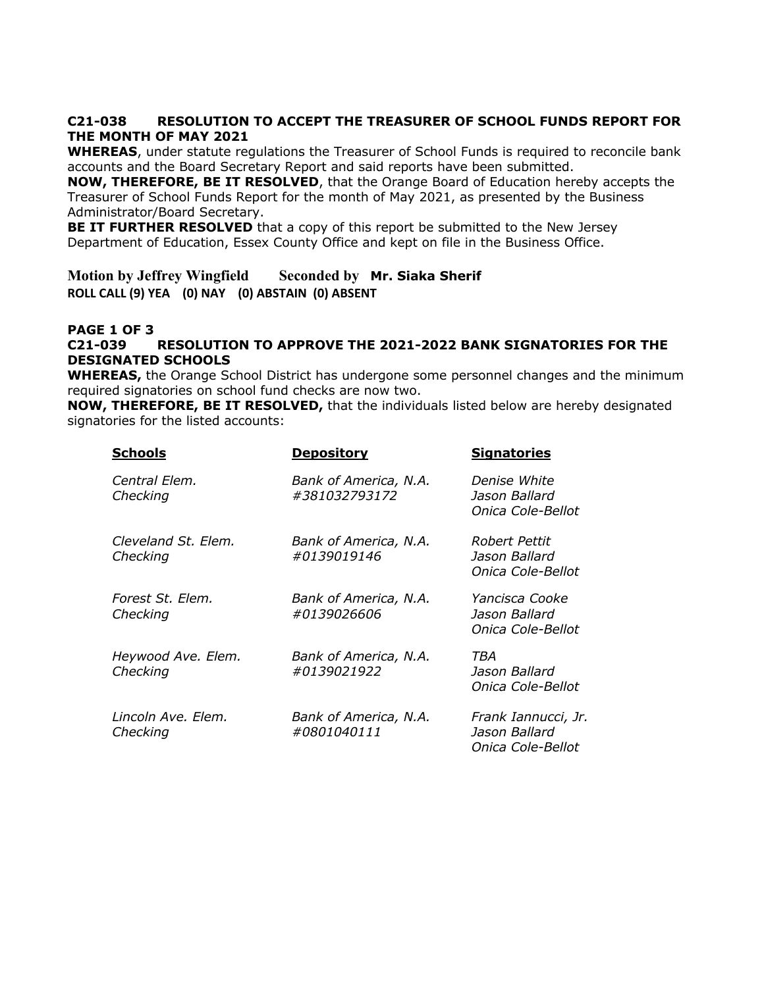## **C21-038 RESOLUTION TO ACCEPT THE TREASURER OF SCHOOL FUNDS REPORT FOR THE MONTH OF MAY 2021**

**WHEREAS**, under statute regulations the Treasurer of School Funds is required to reconcile bank accounts and the Board Secretary Report and said reports have been submitted.

**NOW, THEREFORE, BE IT RESOLVED**, that the Orange Board of Education hereby accepts the Treasurer of School Funds Report for the month of May 2021, as presented by the Business Administrator/Board Secretary.

**BE IT FURTHER RESOLVED** that a copy of this report be submitted to the New Jersey Department of Education, Essex County Office and kept on file in the Business Office.

**Motion by Jeffrey Wingfield Seconded by Mr. Siaka Sherif ROLL CALL (9) YEA (0) NAY (0) ABSTAIN (0) ABSENT**

## **PAGE 1 OF 3 C21-039 RESOLUTION TO APPROVE THE 2021-2022 BANK SIGNATORIES FOR THE DESIGNATED SCHOOLS**

**WHEREAS,** the Orange School District has undergone some personnel changes and the minimum required signatories on school fund checks are now two.

**NOW, THEREFORE, BE IT RESOLVED,** that the individuals listed below are hereby designated signatories for the listed accounts:

| <b>Schools</b>                  | <b>Depository</b>                      | <b>Signatories</b>                                        |
|---------------------------------|----------------------------------------|-----------------------------------------------------------|
| Central Elem.<br>Checking       | Bank of America, N.A.<br>#381032793172 | Denise White<br>Jason Ballard<br>Onica Cole-Bellot        |
| Cleveland St. Elem.<br>Checking | Bank of America, N.A.<br>#0139019146   | Robert Pettit<br>Jason Ballard<br>Onica Cole-Bellot       |
| Forest St. Elem.<br>Checking    | Bank of America, N.A.<br>#0139026606   | Yancisca Cooke<br>Jason Ballard<br>Onica Cole-Bellot      |
| Heywood Ave. Elem.<br>Checking  | Bank of America, N.A.<br>#0139021922   | TBA<br>Jason Ballard<br>Onica Cole-Bellot                 |
| Lincoln Ave. Elem.<br>Checking  | Bank of America, N.A.<br>#0801040111   | Frank Iannucci, Jr.<br>Jason Ballard<br>Onica Cole-Bellot |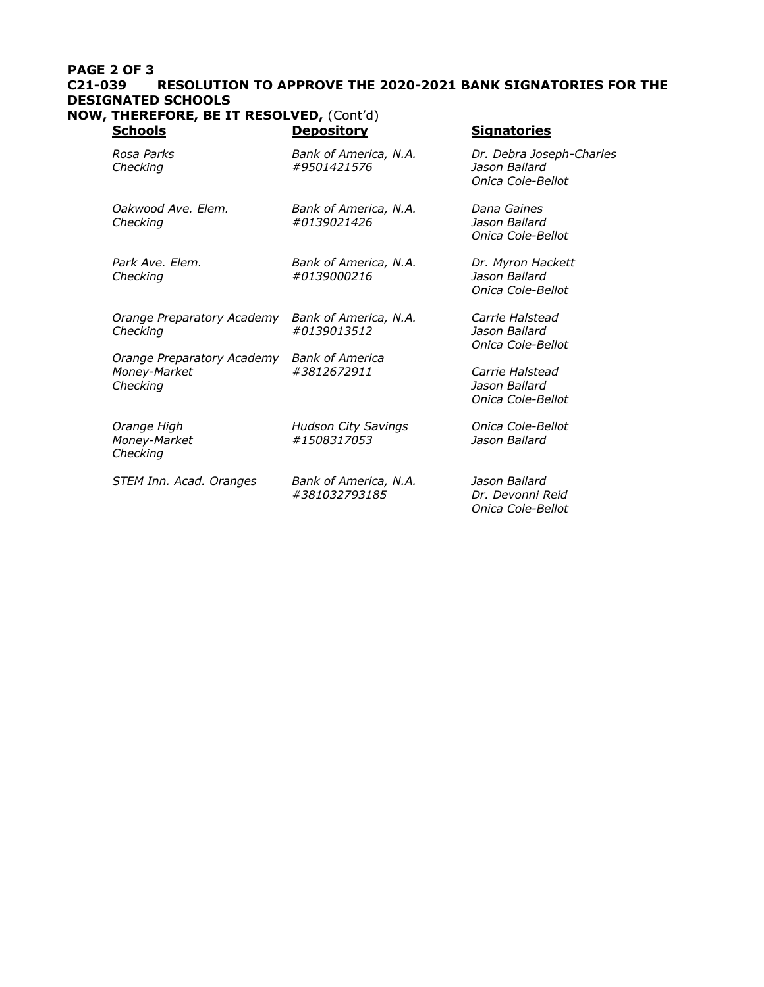## **PAGE 2 OF 3 C21-039 RESOLUTION TO APPROVE THE 2020-2021 BANK SIGNATORIES FOR THE DESIGNATED SCHOOLS**

**NOW, THEREFORE, BE IT RESOLVED,** (Cont'd) **Schools Depository Signatories** 

| Rosa Parks<br>Checking                                 | Bank of America, N.A.<br>#9501421576      | Dr. Debra Joseph-Charles<br>Jason Ballard<br>Onica Cole-Bellot |
|--------------------------------------------------------|-------------------------------------------|----------------------------------------------------------------|
| Oakwood Ave. Elem.<br>Checking                         | Bank of America, N.A.<br>#0139021426      | Dana Gaines<br>Jason Ballard<br>Onica Cole-Bellot              |
| Park Ave. Elem.<br>Checking                            | Bank of America, N.A.<br>#0139000216      | Dr. Myron Hackett<br>Jason Ballard<br>Onica Cole-Bellot        |
| Orange Preparatory Academy<br>Checking                 | Bank of America, N.A.<br>#0139013512      | Carrie Halstead<br>Jason Ballard<br>Onica Cole-Bellot          |
| Orange Preparatory Academy<br>Money-Market<br>Checking | <b>Bank of America</b><br>#3812672911     | Carrie Halstead<br>Jason Ballard<br>Onica Cole-Bellot          |
| Orange High<br>Money-Market<br>Checking                | <b>Hudson City Savings</b><br>#1508317053 | Onica Cole-Bellot<br>Jason Ballard                             |
| STEM Inn. Acad. Oranges                                | Bank of America, N.A.<br>#381032793185    | Jason Ballard<br>Dr. Devonni Reid<br>Onica Cole-Bellot         |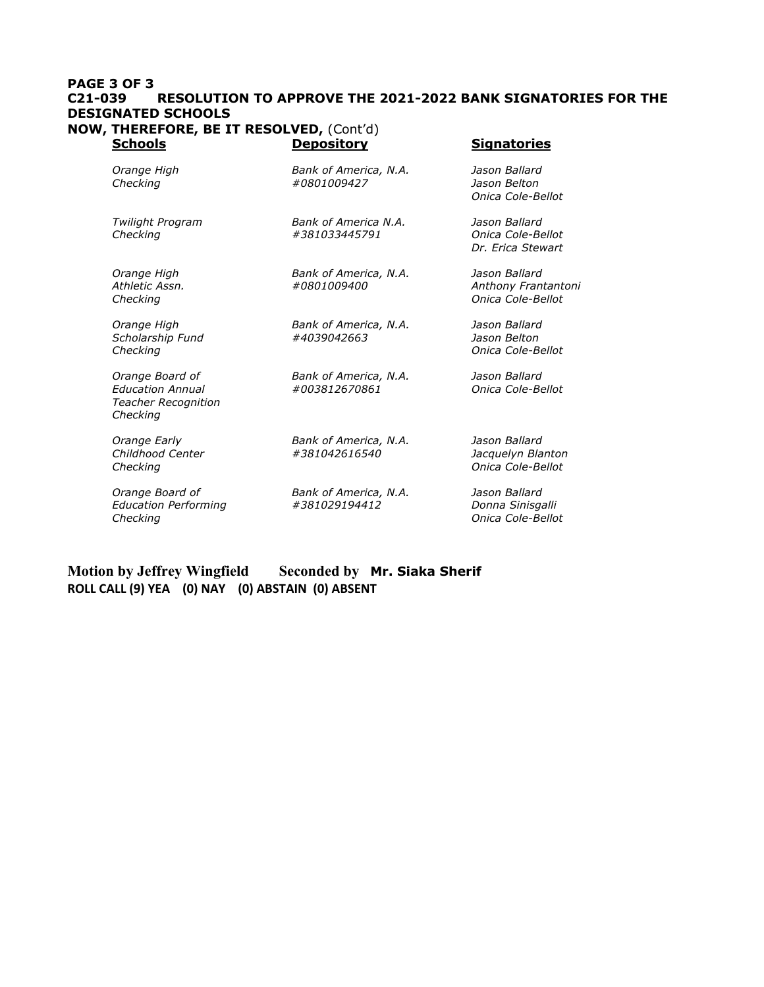#### **PAGE 3 OF 3 C21-039 RESOLUTION TO APPROVE THE 2021-2022 BANK SIGNATORIES FOR THE DESIGNATED SCHOOLS NOW, THEREFORE, BE IT RESOLVED,** (Cont'd) **Signatories**

| uuuu                                                                                 | ZUPUSILUI Y                            | Jiynuturica                                               |
|--------------------------------------------------------------------------------------|----------------------------------------|-----------------------------------------------------------|
| Orange High<br>Checking                                                              | Bank of America, N.A.<br>#0801009427   | Jason Ballard<br>Jason Belton<br>Onica Cole-Bellot        |
| Twilight Program<br>Checking                                                         | Bank of America N.A.<br>#381033445791  | Jason Ballard<br>Onica Cole-Bellot<br>Dr. Erica Stewart   |
| Orange High<br>Athletic Assn.<br>Checking                                            | Bank of America, N.A.<br>#0801009400   | Jason Ballard<br>Anthony Frantantoni<br>Onica Cole-Bellot |
| Orange High<br>Scholarship Fund<br>Checking                                          | Bank of America, N.A.<br>#4039042663   | Jason Ballard<br>Jason Belton<br>Onica Cole-Bellot        |
| Orange Board of<br><b>Education Annual</b><br><b>Teacher Recognition</b><br>Checking | Bank of America, N.A.<br>#003812670861 | Jason Ballard<br>Onica Cole-Bellot                        |
| Orange Early<br>Childhood Center<br>Checking                                         | Bank of America, N.A.<br>#381042616540 | Jason Ballard<br>Jacquelyn Blanton<br>Onica Cole-Bellot   |
| Orange Board of<br><b>Education Performing</b><br>Checking                           | Bank of America, N.A.<br>#381029194412 | Jason Ballard<br>Donna Sinisgalli<br>Onica Cole-Bellot    |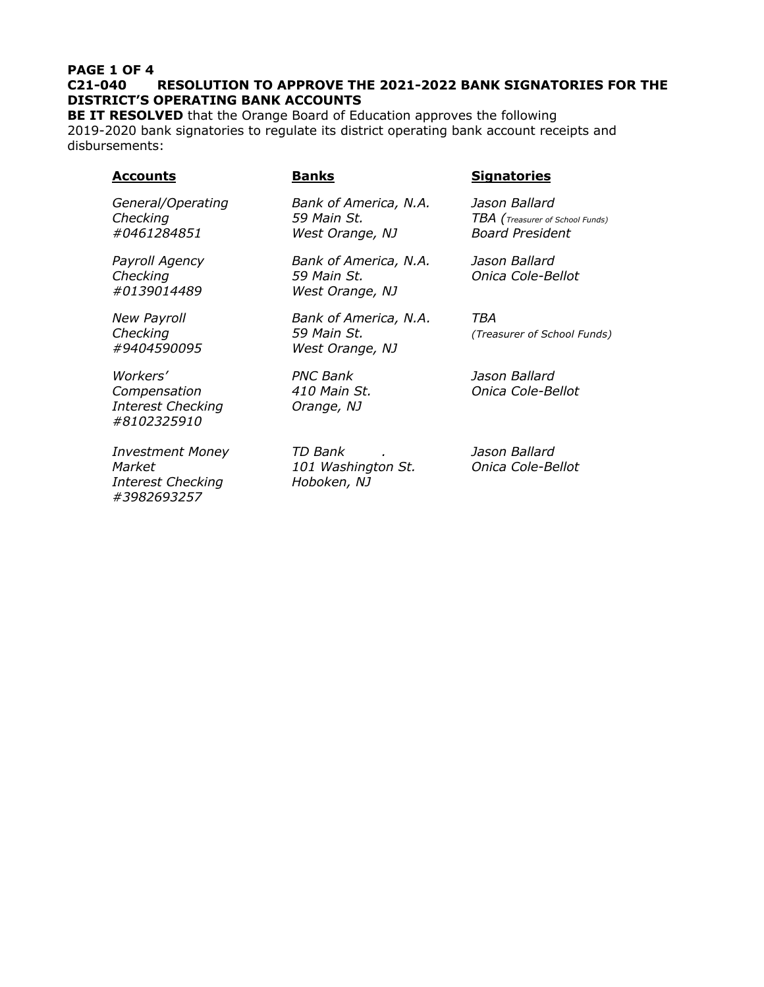#### **PAGE 1 OF 4 C21-040 RESOLUTION TO APPROVE THE 2021-2022 BANK SIGNATORIES FOR THE DISTRICT'S OPERATING BANK ACCOUNTS**

**BE IT RESOLVED** that the Orange Board of Education approves the following 2019-2020 bank signatories to regulate its district operating bank account receipts and disbursements:

| Accounts                                                            | <u>Banks</u>                                            | <b>Signatories</b>                                                         |
|---------------------------------------------------------------------|---------------------------------------------------------|----------------------------------------------------------------------------|
| General/Operating<br>Checking<br>#0461284851                        | Bank of America, N.A.<br>59 Main St.<br>West Orange, NJ | Jason Ballard<br>TBA (Treasurer of School Funds)<br><b>Board President</b> |
| Payroll Agency<br>Checking<br>#0139014489                           | Bank of America, N.A.<br>59 Main St.<br>West Orange, NJ | Jason Ballard<br>Onica Cole-Bellot                                         |
| <b>New Payroll</b><br>Checking<br>#9404590095                       | Bank of America, N.A.<br>59 Main St.<br>West Orange, NJ | TBA<br>(Treasurer of School Funds)                                         |
| Workers'<br>Compensation<br><b>Interest Checking</b><br>#8102325910 | <b>PNC Bank</b><br>410 Main St.<br>Orange, NJ           | Jason Ballard<br>Onica Cole-Bellot                                         |
| <b>Investment Money</b><br>Market<br><b>Interest Checking</b>       | TD Bank<br>101 Washington St.<br>Hoboken, NJ            | Jason Ballard<br>Onica Cole-Bellot                                         |

*#3982693257*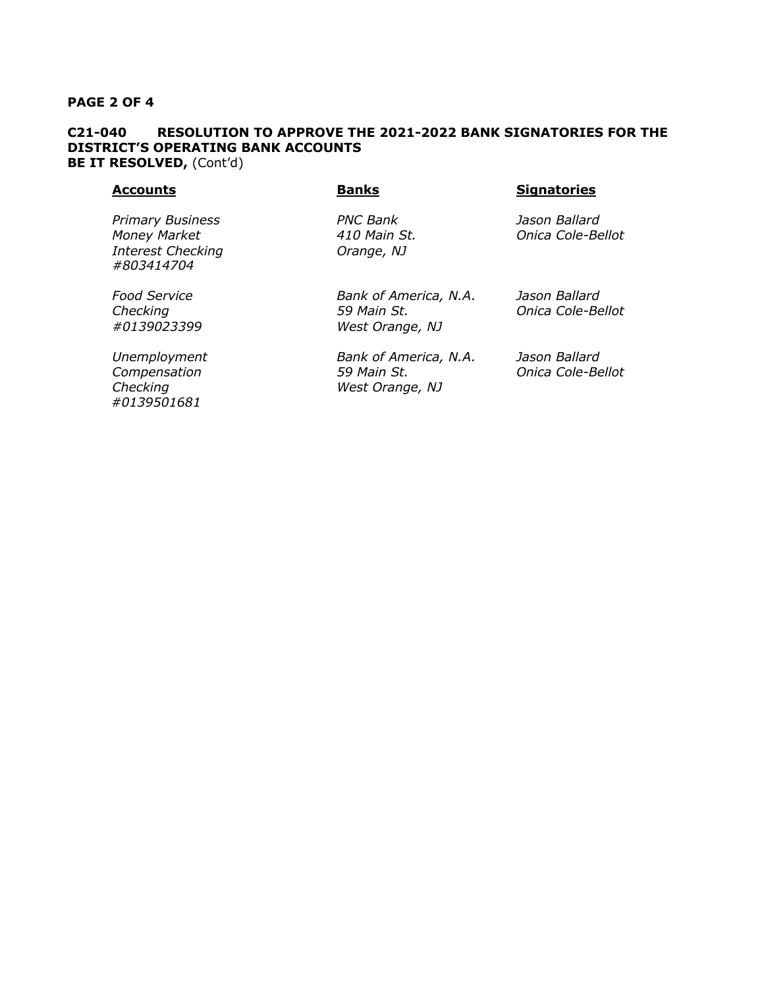#### **PAGE 2 OF 4**

## **C21-040 RESOLUTION TO APPROVE THE 2021-2022 BANK SIGNATORIES FOR THE DISTRICT'S OPERATING BANK ACCOUNTS BE IT RESOLVED,** (Cont'd)

#### **Accounts Banks Signatories**

*Primary Business PNC Bank Jason Ballard Money Market 410 Main St. Onica Cole-Bellot Interest Checking Orange, NJ #803414704*

 *#0139501681*

*Food Service Bank of America, N.A. Jason Ballard Checking 59 Main St. Onica Cole-Bellot #0139023399 West Orange, NJ*

*Unemployment Bank of America, N.A. Jason Ballard Compensation 59 Main St. Onica Cole-Bellot Checking West Orange, NJ*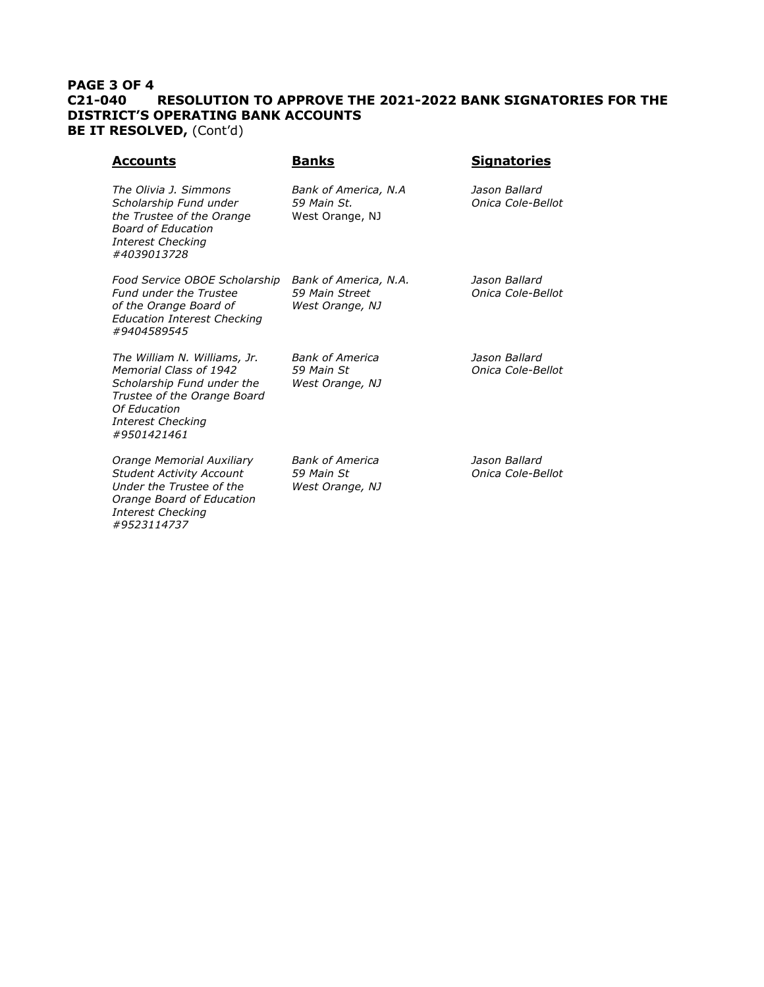## **PAGE 3 OF 4 C21-040 RESOLUTION TO APPROVE THE 2021-2022 BANK SIGNATORIES FOR THE DISTRICT'S OPERATING BANK ACCOUNTS BE IT RESOLVED, (Cont'd)**

| <u>Accounts</u>                                                                                                                                                                | <b>Banks</b>                                               | <b>Signatories</b>                 |
|--------------------------------------------------------------------------------------------------------------------------------------------------------------------------------|------------------------------------------------------------|------------------------------------|
| The Olivia 1. Simmons<br>Scholarship Fund under<br>the Trustee of the Orange<br><b>Board of Education</b><br><b>Interest Checking</b><br>#4039013728                           | Bank of America, N.A<br>59 Main St.<br>West Orange, NJ     | Jason Ballard<br>Onica Cole-Bellot |
| Food Service OBOE Scholarship<br><b>Fund under the Trustee</b><br>of the Orange Board of<br><b>Education Interest Checking</b><br>#9404589545                                  | Bank of America, N.A.<br>59 Main Street<br>West Orange, NJ | Jason Ballard<br>Onica Cole-Bellot |
| The William N. Williams, Jr.<br>Memorial Class of 1942<br>Scholarship Fund under the<br>Trustee of the Orange Board<br>Of Education<br><b>Interest Checking</b><br>#9501421461 | <b>Bank of America</b><br>59 Main St<br>West Orange, NJ    | Jason Ballard<br>Onica Cole-Bellot |
| Orange Memorial Auxiliary<br><b>Student Activity Account</b><br>Under the Trustee of the<br>Orange Board of Education<br><b>Interest Checking</b><br>#9523114737               | <b>Bank of America</b><br>59 Main St<br>West Orange, NJ    | Jason Ballard<br>Onica Cole-Bellot |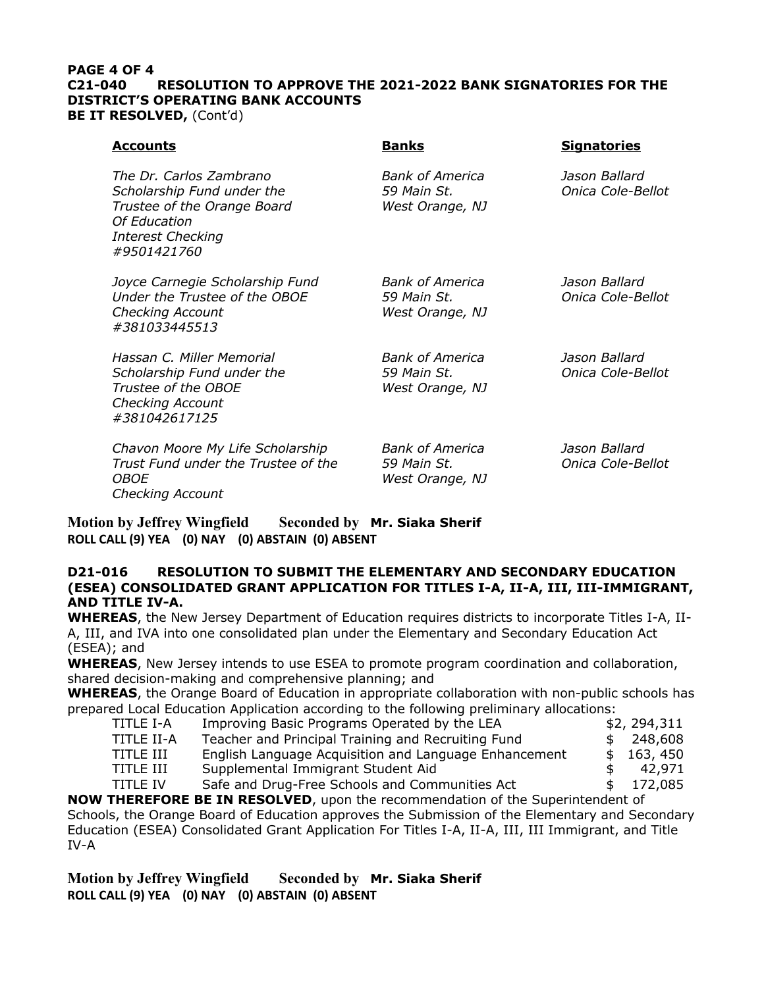#### **PAGE 4 OF 4 C21-040 RESOLUTION TO APPROVE THE 2021-2022 BANK SIGNATORIES FOR THE DISTRICT'S OPERATING BANK ACCOUNTS BE IT RESOLVED, (Cont'd)**

| <u>Accounts</u>                                                                                                                                 | <b>Banks</b>                                             | <b>Signatories</b>                 |
|-------------------------------------------------------------------------------------------------------------------------------------------------|----------------------------------------------------------|------------------------------------|
| The Dr. Carlos Zambrano<br>Scholarship Fund under the<br>Trustee of the Orange Board<br>Of Education<br><b>Interest Checking</b><br>#9501421760 | <b>Bank of America</b><br>59 Main St.<br>West Orange, NJ | Jason Ballard<br>Onica Cole-Bellot |
| Joyce Carnegie Scholarship Fund<br>Under the Trustee of the OBOE<br><b>Checking Account</b><br>#381033445513                                    | <b>Bank of America</b><br>59 Main St.<br>West Orange, NJ | Jason Ballard<br>Onica Cole-Bellot |
| Hassan C. Miller Memorial<br>Scholarship Fund under the<br>Trustee of the OBOE<br><b>Checking Account</b><br>#381042617125                      | <b>Bank of America</b><br>59 Main St.<br>West Orange, NJ | Jason Ballard<br>Onica Cole-Bellot |
| Chavon Moore My Life Scholarship<br>Trust Fund under the Trustee of the<br><i>OBOE</i><br><b>Checking Account</b>                               | <b>Bank of America</b><br>59 Main St.<br>West Orange, NJ | Jason Ballard<br>Onica Cole-Bellot |

**Motion by Jeffrey Wingfield Seconded by Mr. Siaka Sherif ROLL CALL (9) YEA (0) NAY (0) ABSTAIN (0) ABSENT**

## **D21-016 RESOLUTION TO SUBMIT THE ELEMENTARY AND SECONDARY EDUCATION (ESEA) CONSOLIDATED GRANT APPLICATION FOR TITLES I-A, II-A, III, III-IMMIGRANT, AND TITLE IV-A.**

**WHEREAS**, the New Jersey Department of Education requires districts to incorporate Titles I-A, II-A, III, and IVA into one consolidated plan under the Elementary and Secondary Education Act (ESEA); and

**WHEREAS**, New Jersey intends to use ESEA to promote program coordination and collaboration, shared decision-making and comprehensive planning; and

**WHEREAS**, the Orange Board of Education in appropriate collaboration with non-public schools has prepared Local Education Application according to the following preliminary allocations:

| TITLE I-A       | Improving Basic Programs Operated by the LEA          | \$2, 294, 311 |
|-----------------|-------------------------------------------------------|---------------|
| TITLE II-A      | Teacher and Principal Training and Recruiting Fund    | \$248,608     |
| TITLE III       | English Language Acquisition and Language Enhancement | \$163,450     |
| TITLE III       | Supplemental Immigrant Student Aid                    | 42.971        |
| <b>TITLE IV</b> | Safe and Drug-Free Schools and Communities Act        | 172.085       |

**NOW THEREFORE BE IN RESOLVED**, upon the recommendation of the Superintendent of Schools, the Orange Board of Education approves the Submission of the Elementary and Secondary Education (ESEA) Consolidated Grant Application For Titles I-A, II-A, III, III Immigrant, and Title IV-A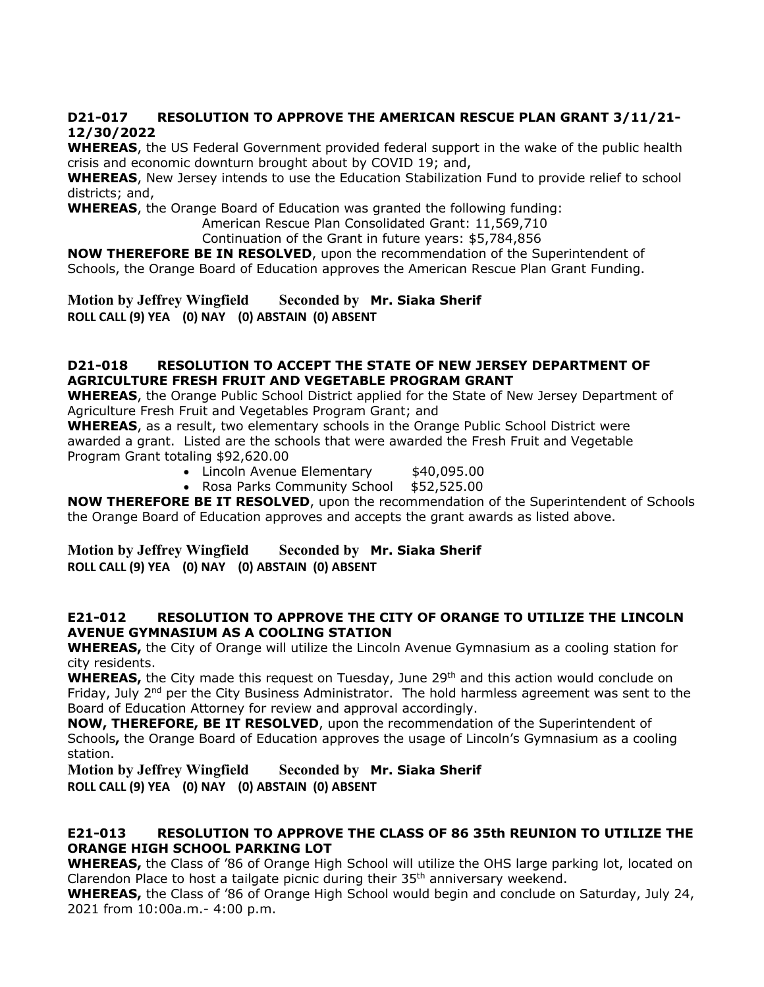## **D21-017 RESOLUTION TO APPROVE THE AMERICAN RESCUE PLAN GRANT 3/11/21- 12/30/2022**

**WHEREAS**, the US Federal Government provided federal support in the wake of the public health crisis and economic downturn brought about by COVID 19; and,

**WHEREAS**, New Jersey intends to use the Education Stabilization Fund to provide relief to school districts; and,

**WHEREAS**, the Orange Board of Education was granted the following funding:

American Rescue Plan Consolidated Grant: 11,569,710

Continuation of the Grant in future years: \$5,784,856

**NOW THEREFORE BE IN RESOLVED**, upon the recommendation of the Superintendent of Schools, the Orange Board of Education approves the American Rescue Plan Grant Funding.

**Motion by Jeffrey Wingfield Seconded by Mr. Siaka Sherif ROLL CALL (9) YEA (0) NAY (0) ABSTAIN (0) ABSENT**

## **D21-018 RESOLUTION TO ACCEPT THE STATE OF NEW JERSEY DEPARTMENT OF AGRICULTURE FRESH FRUIT AND VEGETABLE PROGRAM GRANT**

**WHEREAS**, the Orange Public School District applied for the State of New Jersey Department of Agriculture Fresh Fruit and Vegetables Program Grant; and

**WHEREAS**, as a result, two elementary schools in the Orange Public School District were awarded a grant. Listed are the schools that were awarded the Fresh Fruit and Vegetable Program Grant totaling \$92,620.00

- Lincoln Avenue Elementary \$40,095.00
- Rosa Parks Community School \$52,525.00

**NOW THEREFORE BE IT RESOLVED**, upon the recommendation of the Superintendent of Schools the Orange Board of Education approves and accepts the grant awards as listed above.

**Motion by Jeffrey Wingfield Seconded by Mr. Siaka Sherif ROLL CALL (9) YEA (0) NAY (0) ABSTAIN (0) ABSENT**

## **E21-012 RESOLUTION TO APPROVE THE CITY OF ORANGE TO UTILIZE THE LINCOLN AVENUE GYMNASIUM AS A COOLING STATION**

**WHEREAS,** the City of Orange will utilize the Lincoln Avenue Gymnasium as a cooling station for city residents.

WHEREAS, the City made this request on Tuesday, June 29<sup>th</sup> and this action would conclude on Friday, July  $2^{nd}$  per the City Business Administrator. The hold harmless agreement was sent to the Board of Education Attorney for review and approval accordingly.

**NOW, THEREFORE, BE IT RESOLVED**, upon the recommendation of the Superintendent of Schools**,** the Orange Board of Education approves the usage of Lincoln's Gymnasium as a cooling station.

**Motion by Jeffrey Wingfield Seconded by Mr. Siaka Sherif ROLL CALL (9) YEA (0) NAY (0) ABSTAIN (0) ABSENT**

## **E21-013 RESOLUTION TO APPROVE THE CLASS OF 86 35th REUNION TO UTILIZE THE ORANGE HIGH SCHOOL PARKING LOT**

**WHEREAS,** the Class of '86 of Orange High School will utilize the OHS large parking lot, located on Clarendon Place to host a tailgate picnic during their  $35<sup>th</sup>$  anniversary weekend.

**WHEREAS,** the Class of '86 of Orange High School would begin and conclude on Saturday, July 24, 2021 from 10:00a.m.- 4:00 p.m.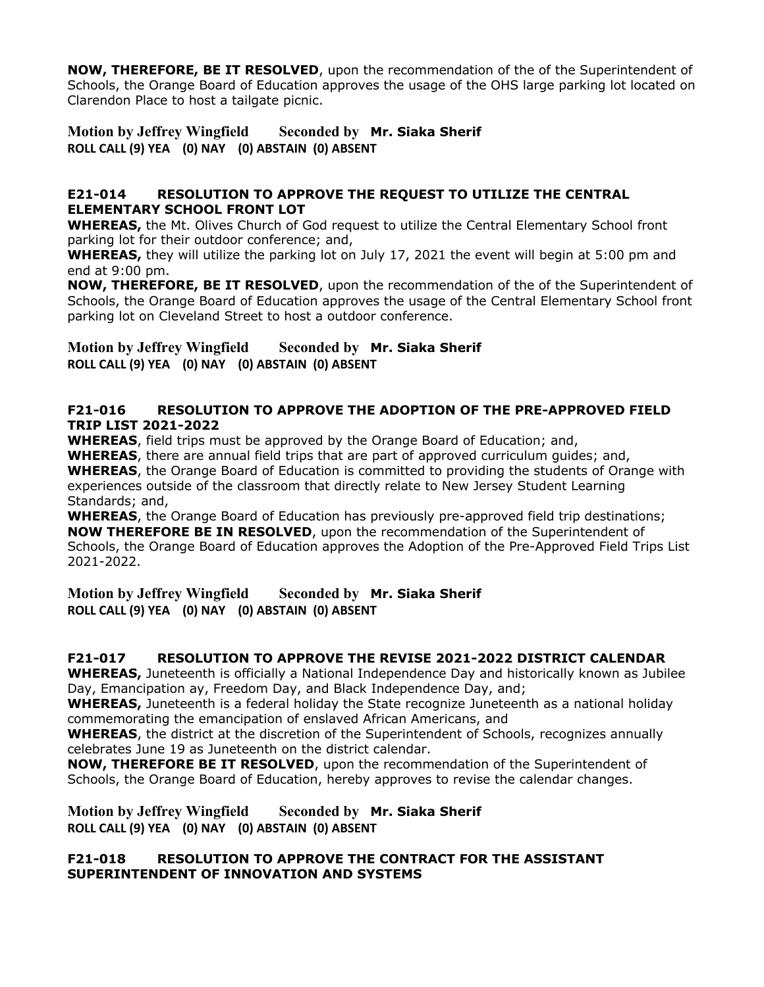**NOW, THEREFORE, BE IT RESOLVED**, upon the recommendation of the of the Superintendent of Schools, the Orange Board of Education approves the usage of the OHS large parking lot located on Clarendon Place to host a tailgate picnic.

## **Motion by Jeffrey Wingfield Seconded by Mr. Siaka Sherif ROLL CALL (9) YEA (0) NAY (0) ABSTAIN (0) ABSENT**

## **E21-014 RESOLUTION TO APPROVE THE REQUEST TO UTILIZE THE CENTRAL ELEMENTARY SCHOOL FRONT LOT**

**WHEREAS,** the Mt. Olives Church of God request to utilize the Central Elementary School front parking lot for their outdoor conference; and,

**WHEREAS,** they will utilize the parking lot on July 17, 2021 the event will begin at 5:00 pm and end at 9:00 pm.

**NOW, THEREFORE, BE IT RESOLVED**, upon the recommendation of the of the Superintendent of Schools, the Orange Board of Education approves the usage of the Central Elementary School front parking lot on Cleveland Street to host a outdoor conference.

**Motion by Jeffrey Wingfield Seconded by Mr. Siaka Sherif ROLL CALL (9) YEA (0) NAY (0) ABSTAIN (0) ABSENT**

## **F21-016 RESOLUTION TO APPROVE THE ADOPTION OF THE PRE-APPROVED FIELD TRIP LIST 2021-2022**

**WHEREAS**, field trips must be approved by the Orange Board of Education; and,

**WHEREAS**, there are annual field trips that are part of approved curriculum guides; and, **WHEREAS**, the Orange Board of Education is committed to providing the students of Orange with experiences outside of the classroom that directly relate to New Jersey Student Learning Standards; and,

**WHEREAS**, the Orange Board of Education has previously pre-approved field trip destinations; **NOW THEREFORE BE IN RESOLVED**, upon the recommendation of the Superintendent of Schools, the Orange Board of Education approves the Adoption of the Pre-Approved Field Trips List 2021-2022.

**Motion by Jeffrey Wingfield Seconded by Mr. Siaka Sherif ROLL CALL (9) YEA (0) NAY (0) ABSTAIN (0) ABSENT**

# **F21-017 RESOLUTION TO APPROVE THE REVISE 2021-2022 DISTRICT CALENDAR**

**WHEREAS,** Juneteenth is officially a National Independence Day and historically known as Jubilee Day, Emancipation ay, Freedom Day, and Black Independence Day, and;

**WHEREAS,** Juneteenth is a federal holiday the State recognize Juneteenth as a national holiday commemorating the emancipation of enslaved African Americans, and

**WHEREAS**, the district at the discretion of the Superintendent of Schools, recognizes annually celebrates June 19 as Juneteenth on the district calendar.

**NOW, THEREFORE BE IT RESOLVED**, upon the recommendation of the Superintendent of Schools, the Orange Board of Education, hereby approves to revise the calendar changes.

**Motion by Jeffrey Wingfield Seconded by Mr. Siaka Sherif ROLL CALL (9) YEA (0) NAY (0) ABSTAIN (0) ABSENT**

## **F21-018 RESOLUTION TO APPROVE THE CONTRACT FOR THE ASSISTANT SUPERINTENDENT OF INNOVATION AND SYSTEMS**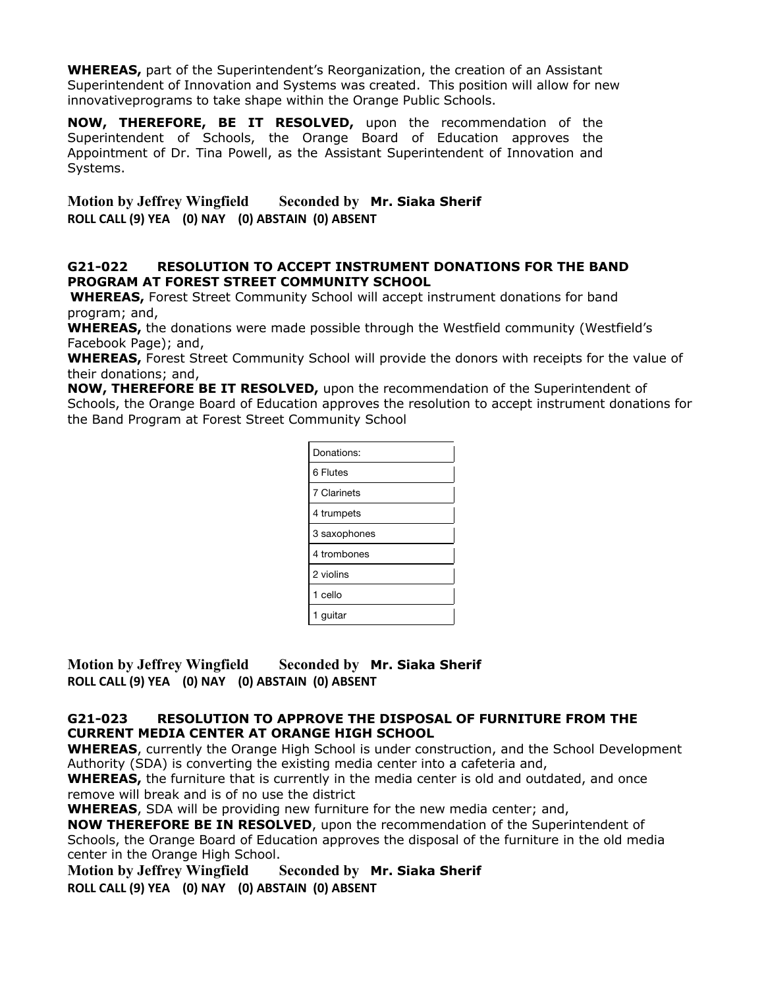**WHEREAS,** part of the Superintendent's Reorganization, the creation of an Assistant Superintendent of Innovation and Systems was created. This position will allow for new innovativeprograms to take shape within the Orange Public Schools.

**NOW, THEREFORE, BE IT RESOLVED,** upon the recommendation of the Superintendent of Schools, the Orange Board of Education approves the Appointment of Dr. Tina Powell, as the Assistant Superintendent of Innovation and Systems.

**Motion by Jeffrey Wingfield Seconded by Mr. Siaka Sherif ROLL CALL (9) YEA (0) NAY (0) ABSTAIN (0) ABSENT**

## **G21-022 RESOLUTION TO ACCEPT INSTRUMENT DONATIONS FOR THE BAND PROGRAM AT FOREST STREET COMMUNITY SCHOOL**

**WHEREAS,** Forest Street Community School will accept instrument donations for band program; and,

**WHEREAS,** the donations were made possible through the Westfield community (Westfield's Facebook Page); and,

**WHEREAS,** Forest Street Community School will provide the donors with receipts for the value of their donations; and,

**NOW, THEREFORE BE IT RESOLVED,** upon the recommendation of the Superintendent of Schools, the Orange Board of Education approves the resolution to accept instrument donations for the Band Program at Forest Street Community School

| Donations:   |
|--------------|
| 6 Flutes     |
| 7 Clarinets  |
| 4 trumpets   |
| 3 saxophones |
| 4 trombones  |
| 2 violins    |
| 1 cello      |
| auitar       |

**Motion by Jeffrey Wingfield Seconded by Mr. Siaka Sherif ROLL CALL (9) YEA (0) NAY (0) ABSTAIN (0) ABSENT**

## **G21-023 RESOLUTION TO APPROVE THE DISPOSAL OF FURNITURE FROM THE CURRENT MEDIA CENTER AT ORANGE HIGH SCHOOL**

**WHEREAS**, currently the Orange High School is under construction, and the School Development Authority (SDA) is converting the existing media center into a cafeteria and,

**WHEREAS,** the furniture that is currently in the media center is old and outdated, and once remove will break and is of no use the district

**WHEREAS**, SDA will be providing new furniture for the new media center; and,

**NOW THEREFORE BE IN RESOLVED**, upon the recommendation of the Superintendent of Schools, the Orange Board of Education approves the disposal of the furniture in the old media center in the Orange High School.